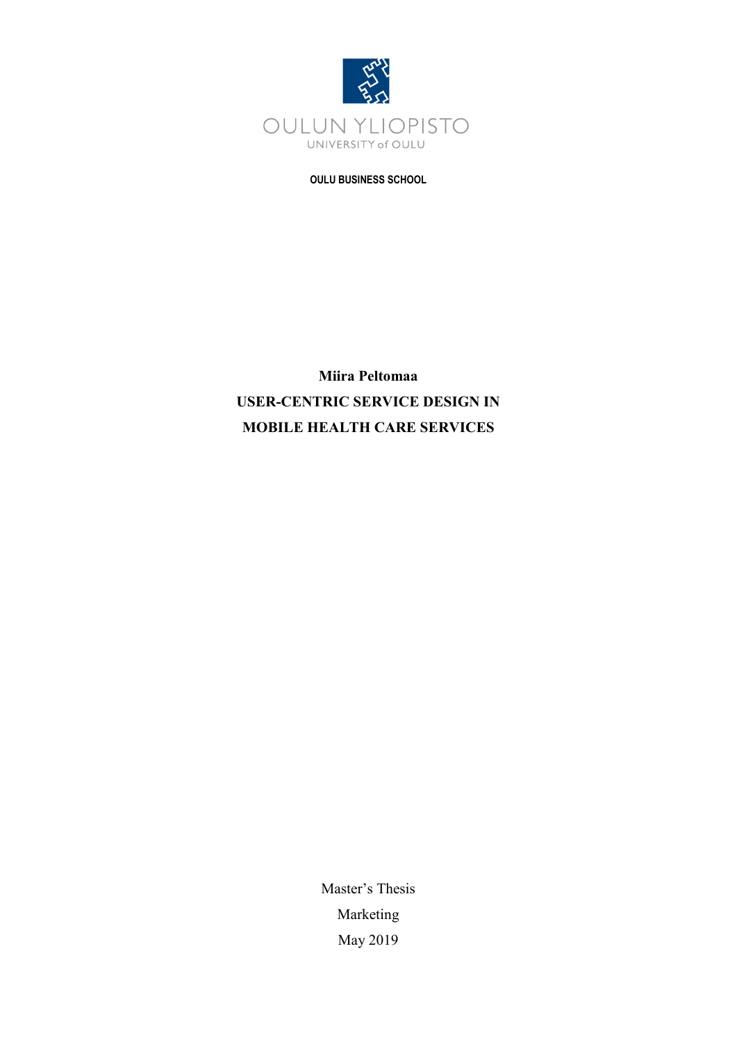

**OULU BUSINESS SCHOOL**

**Miira Peltomaa USER-CENTRIC SERVICE DESIGN IN MOBILE HEALTH CARE SERVICES**

> Master's Thesis Marketing May 2019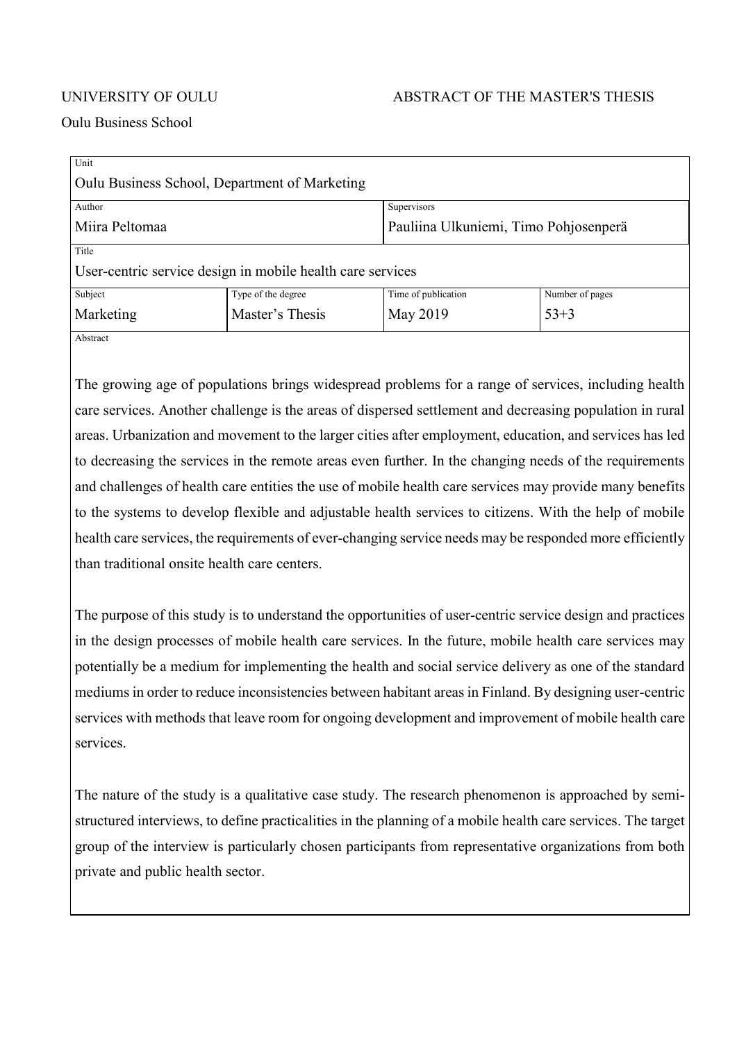### UNIVERSITY OF OULU ABSTRACT OF THE MASTER'S THESIS

#### Oulu Business School

| Unit                                                       |                    |                                       |                 |  |
|------------------------------------------------------------|--------------------|---------------------------------------|-----------------|--|
| Oulu Business School, Department of Marketing              |                    |                                       |                 |  |
| Author                                                     |                    | Supervisors                           |                 |  |
| Miira Peltomaa                                             |                    | Pauliina Ulkuniemi, Timo Pohjosenperä |                 |  |
| Title                                                      |                    |                                       |                 |  |
| User-centric service design in mobile health care services |                    |                                       |                 |  |
| Subject                                                    | Type of the degree | Time of publication                   | Number of pages |  |
| Marketing                                                  | Master's Thesis    | May 2019                              | $53 + 3$        |  |
| Abstract                                                   |                    |                                       |                 |  |

The growing age of populations brings widespread problems for a range of services, including health care services. Another challenge is the areas of dispersed settlement and decreasing population in rural areas. Urbanization and movement to the larger cities after employment, education, and services has led to decreasing the services in the remote areas even further. In the changing needs of the requirements and challenges of health care entities the use of mobile health care services may provide many benefits to the systems to develop flexible and adjustable health services to citizens. With the help of mobile health care services, the requirements of ever-changing service needs may be responded more efficiently than traditional onsite health care centers.

The purpose of this study is to understand the opportunities of user-centric service design and practices in the design processes of mobile health care services. In the future, mobile health care services may potentially be a medium for implementing the health and social service delivery as one of the standard mediums in order to reduce inconsistencies between habitant areas in Finland. By designing user-centric services with methods that leave room for ongoing development and improvement of mobile health care services.

The nature of the study is a qualitative case study. The research phenomenon is approached by semistructured interviews, to define practicalities in the planning of a mobile health care services. The target group of the interview is particularly chosen participants from representative organizations from both private and public health sector.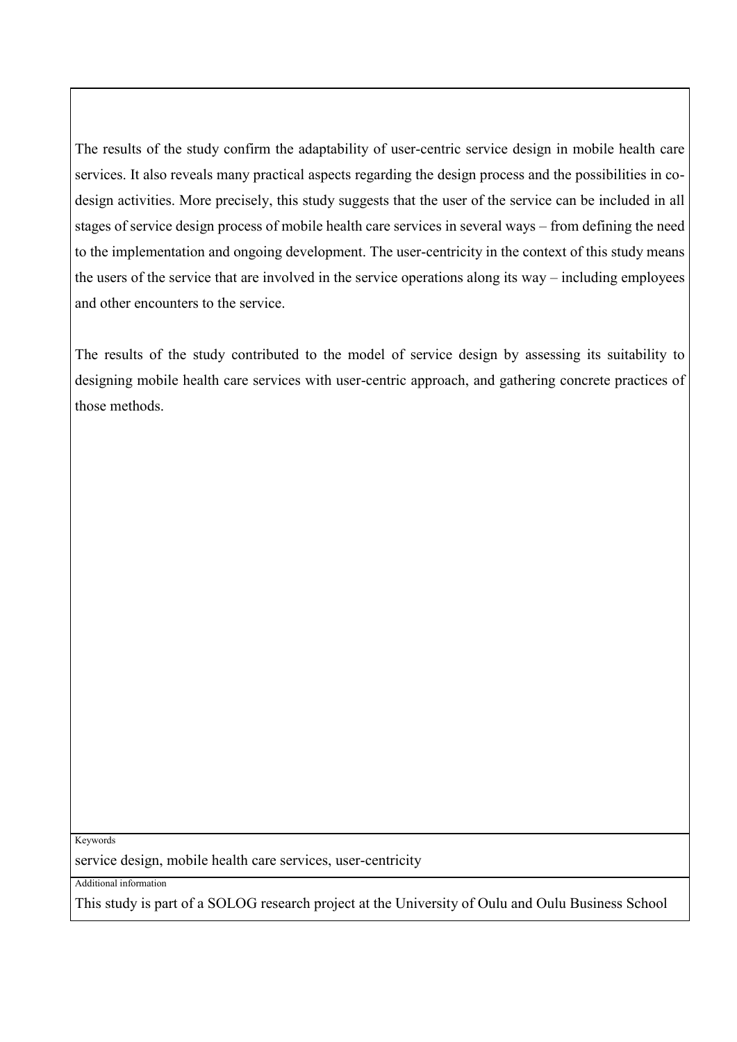The results of the study confirm the adaptability of user-centric service design in mobile health care services. It also reveals many practical aspects regarding the design process and the possibilities in codesign activities. More precisely, this study suggests that the user of the service can be included in all stages of service design process of mobile health care services in several ways – from defining the need to the implementation and ongoing development. The user-centricity in the context of this study means the users of the service that are involved in the service operations along its way – including employees and other encounters to the service.

The results of the study contributed to the model of service design by assessing its suitability to designing mobile health care services with user-centric approach, and gathering concrete practices of those methods.

Keywords

service design, mobile health care services, user-centricity

Additional information

This study is part of a SOLOG research project at the University of Oulu and Oulu Business School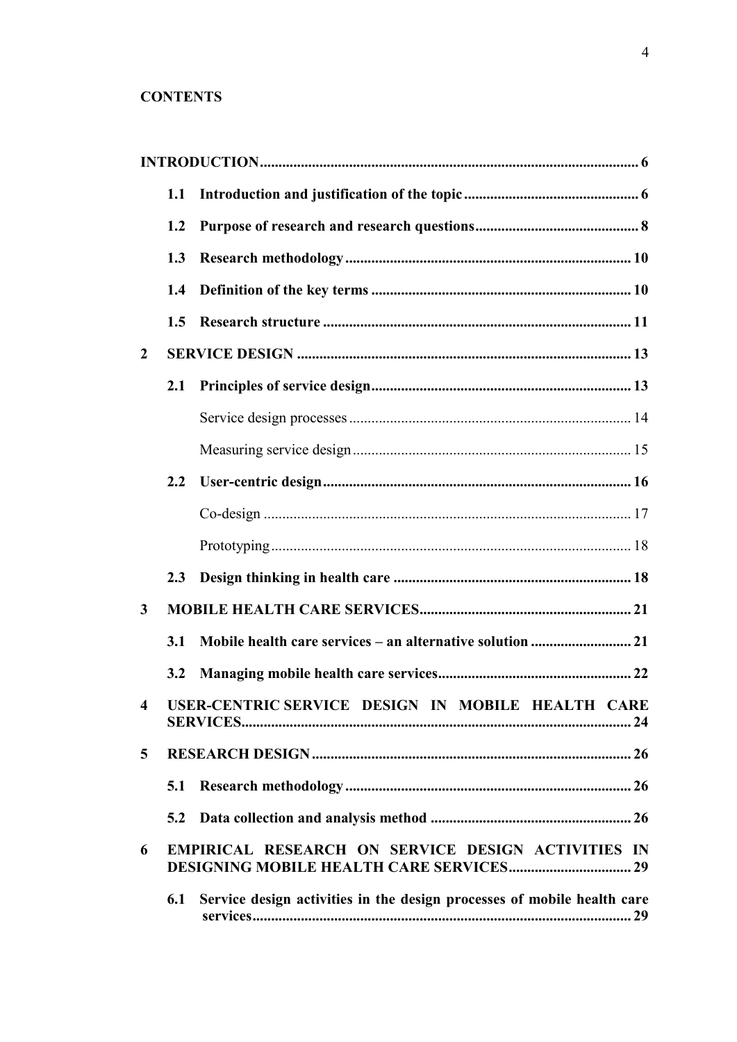### **CONTENTS**

|                         | 1.1           |                                                                         |
|-------------------------|---------------|-------------------------------------------------------------------------|
|                         | 1.2           |                                                                         |
|                         | 1.3           |                                                                         |
|                         | 1.4           |                                                                         |
|                         | 1.5           |                                                                         |
| $\overline{2}$          |               |                                                                         |
|                         | 2.1           |                                                                         |
|                         |               |                                                                         |
|                         |               |                                                                         |
|                         | $2.2\,$       |                                                                         |
|                         |               |                                                                         |
|                         |               |                                                                         |
|                         | $2.3^{\circ}$ |                                                                         |
| $\mathbf{3}$            |               |                                                                         |
|                         | 3.1           |                                                                         |
|                         | 3.2           |                                                                         |
| $\overline{\mathbf{4}}$ |               | USER-CENTRIC SERVICE DESIGN IN MOBILE HEALTH CARE                       |
| 5                       |               |                                                                         |
|                         | 5.1           |                                                                         |
|                         | 5.2           |                                                                         |
| 6                       |               | EMPIRICAL RESEARCH ON SERVICE DESIGN ACTIVITIES IN                      |
|                         | 6.1           | Service design activities in the design processes of mobile health care |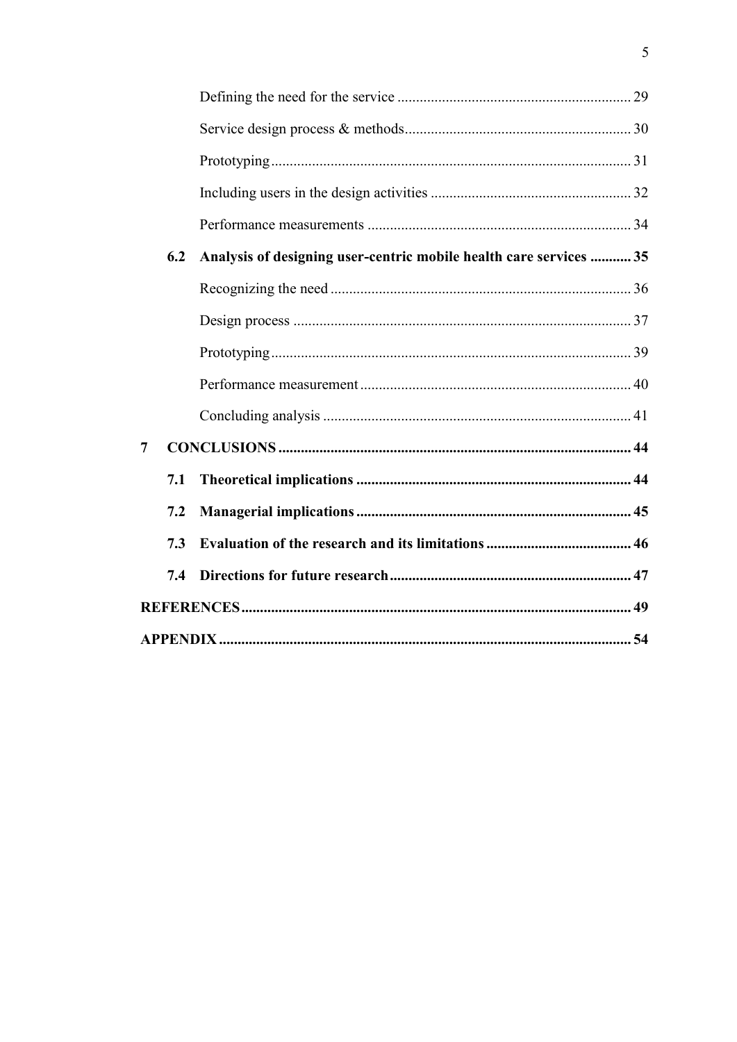|                | 6.2 | Analysis of designing user-centric mobile health care services  35 |  |
|----------------|-----|--------------------------------------------------------------------|--|
|                |     |                                                                    |  |
|                |     |                                                                    |  |
|                |     |                                                                    |  |
|                |     |                                                                    |  |
|                |     |                                                                    |  |
| $\overline{7}$ |     |                                                                    |  |
|                | 7.1 |                                                                    |  |
|                | 7.2 |                                                                    |  |
|                | 7.3 |                                                                    |  |
|                | 7.4 |                                                                    |  |
|                |     |                                                                    |  |
|                |     |                                                                    |  |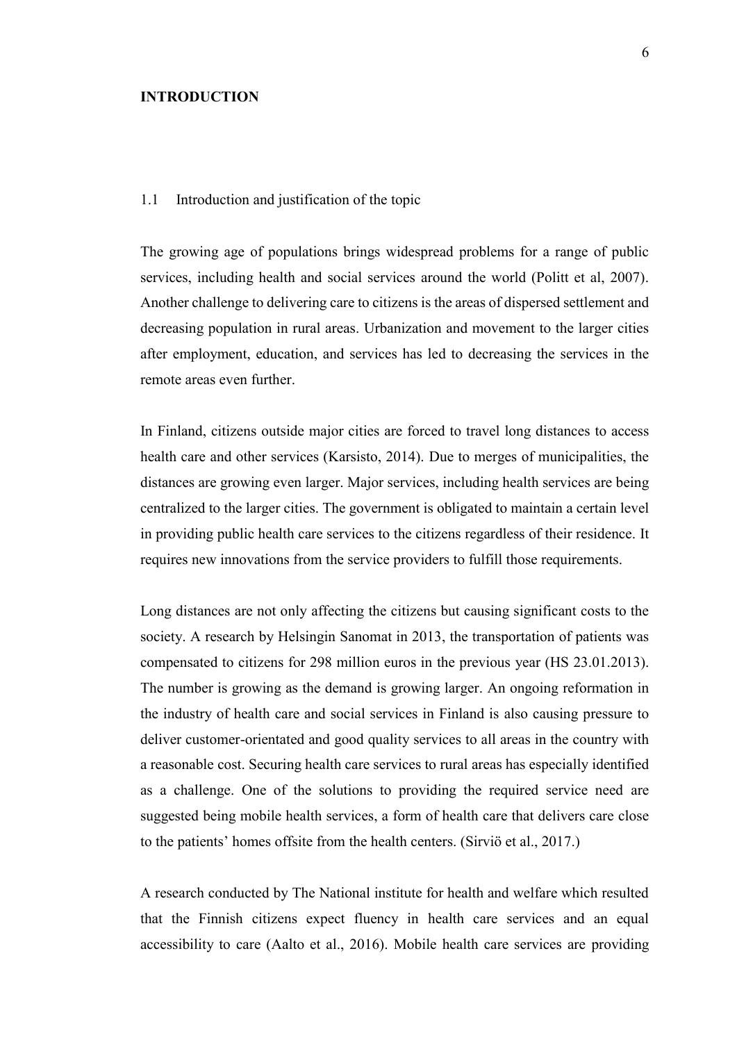#### <span id="page-5-0"></span>**INTRODUCTION**

#### <span id="page-5-1"></span>1.1 Introduction and justification of the topic

The growing age of populations brings widespread problems for a range of public services, including health and social services around the world (Politt et al, 2007). Another challenge to delivering care to citizens is the areas of dispersed settlement and decreasing population in rural areas. Urbanization and movement to the larger cities after employment, education, and services has led to decreasing the services in the remote areas even further.

In Finland, citizens outside major cities are forced to travel long distances to access health care and other services (Karsisto, 2014). Due to merges of municipalities, the distances are growing even larger. Major services, including health services are being centralized to the larger cities. The government is obligated to maintain a certain level in providing public health care services to the citizens regardless of their residence. It requires new innovations from the service providers to fulfill those requirements.

Long distances are not only affecting the citizens but causing significant costs to the society. A research by Helsingin Sanomat in 2013, the transportation of patients was compensated to citizens for 298 million euros in the previous year (HS 23.01.2013). The number is growing as the demand is growing larger. An ongoing reformation in the industry of health care and social services in Finland is also causing pressure to deliver customer-orientated and good quality services to all areas in the country with a reasonable cost. Securing health care services to rural areas has especially identified as a challenge. One of the solutions to providing the required service need are suggested being mobile health services, a form of health care that delivers care close to the patients' homes offsite from the health centers. (Sirviö et al., 2017.)

A research conducted by The National institute for health and welfare which resulted that the Finnish citizens expect fluency in health care services and an equal accessibility to care (Aalto et al., 2016). Mobile health care services are providing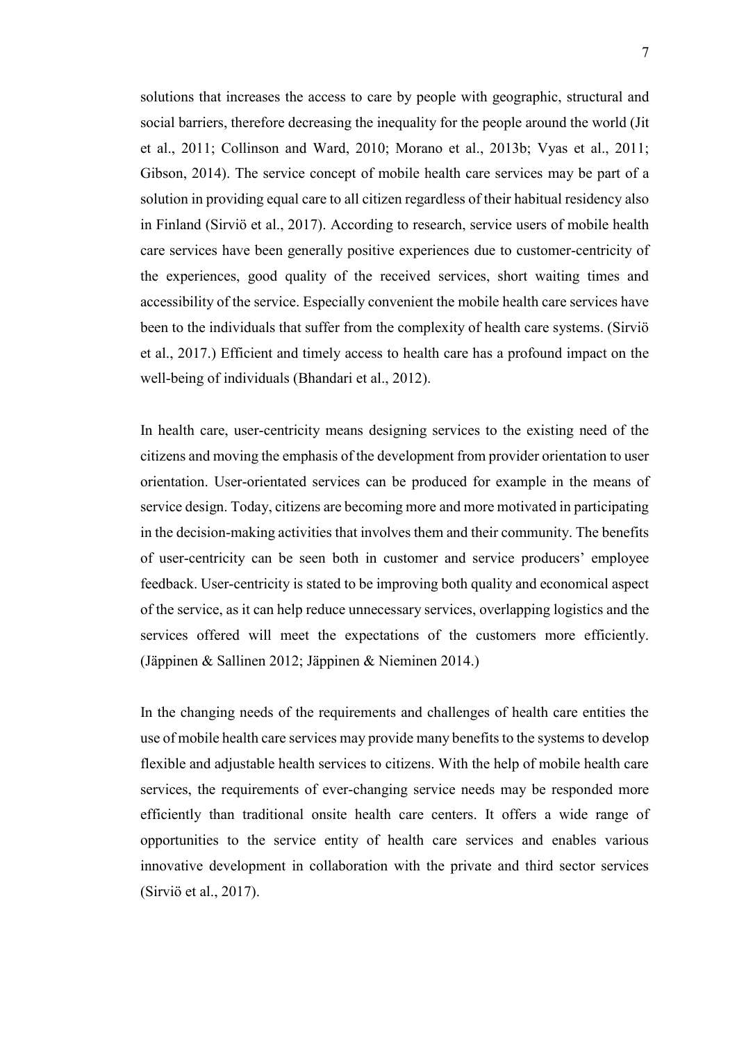solutions that increases the access to care by people with geographic, structural and social barriers, therefore decreasing the inequality for the people around the world (Jit et al., 2011; Collinson and Ward, 2010; Morano et al., 2013b; Vyas et al., 2011; Gibson, 2014). The service concept of mobile health care services may be part of a solution in providing equal care to all citizen regardless of their habitual residency also in Finland (Sirviö et al., 2017). According to research, service users of mobile health care services have been generally positive experiences due to customer-centricity of the experiences, good quality of the received services, short waiting times and accessibility of the service. Especially convenient the mobile health care services have been to the individuals that suffer from the complexity of health care systems. (Sirviö et al., 2017.) Efficient and timely access to health care has a profound impact on the well-being of individuals (Bhandari et al., 2012).

In health care, user-centricity means designing services to the existing need of the citizens and moving the emphasis of the development from provider orientation to user orientation. User-orientated services can be produced for example in the means of service design. Today, citizens are becoming more and more motivated in participating in the decision-making activities that involves them and their community. The benefits of user-centricity can be seen both in customer and service producers' employee feedback. User-centricity is stated to be improving both quality and economical aspect of the service, as it can help reduce unnecessary services, overlapping logistics and the services offered will meet the expectations of the customers more efficiently. (Jäppinen & Sallinen 2012; Jäppinen & Nieminen 2014.)

In the changing needs of the requirements and challenges of health care entities the use of mobile health care services may provide many benefits to the systems to develop flexible and adjustable health services to citizens. With the help of mobile health care services, the requirements of ever-changing service needs may be responded more efficiently than traditional onsite health care centers. It offers a wide range of opportunities to the service entity of health care services and enables various innovative development in collaboration with the private and third sector services (Sirviö et al., 2017).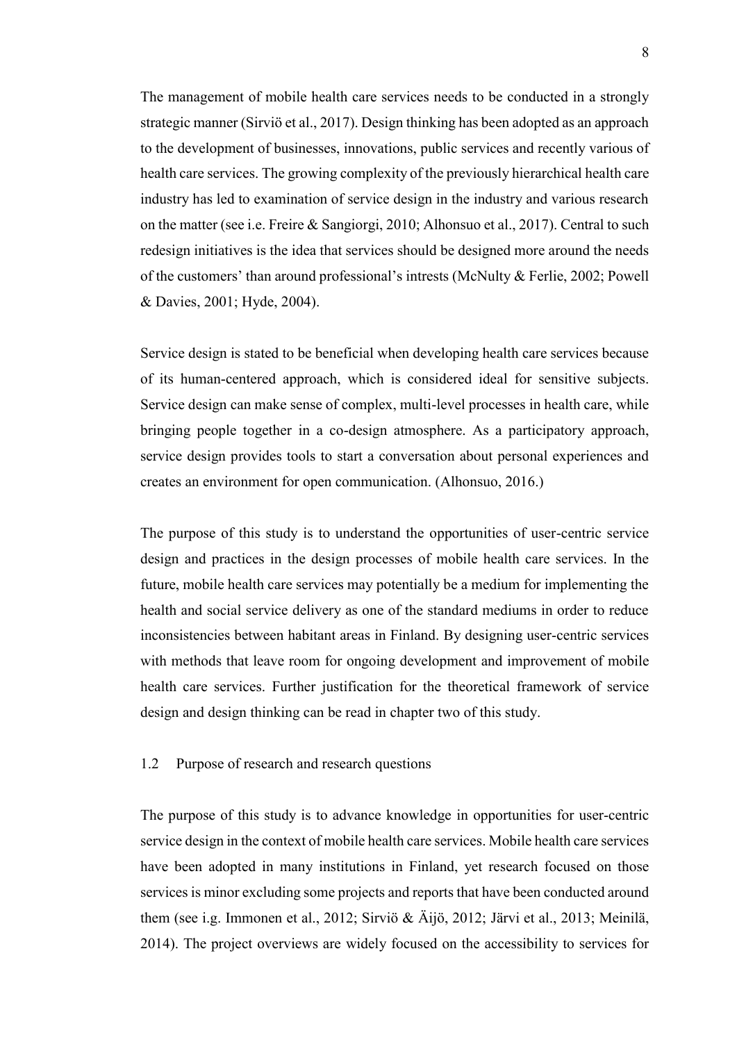The management of mobile health care services needs to be conducted in a strongly strategic manner (Sirviö et al., 2017). Design thinking has been adopted as an approach to the development of businesses, innovations, public services and recently various of health care services. The growing complexity of the previously hierarchical health care industry has led to examination of service design in the industry and various research on the matter (see i.e. Freire & Sangiorgi, 2010; Alhonsuo et al., 2017). Central to such redesign initiatives is the idea that services should be designed more around the needs of the customers' than around professional's intrests (McNulty & Ferlie, 2002; Powell & Davies, 2001; Hyde, 2004).

Service design is stated to be beneficial when developing health care services because of its human-centered approach, which is considered ideal for sensitive subjects. Service design can make sense of complex, multi-level processes in health care, while bringing people together in a co-design atmosphere. As a participatory approach, service design provides tools to start a conversation about personal experiences and creates an environment for open communication. (Alhonsuo, 2016.)

The purpose of this study is to understand the opportunities of user-centric service design and practices in the design processes of mobile health care services. In the future, mobile health care services may potentially be a medium for implementing the health and social service delivery as one of the standard mediums in order to reduce inconsistencies between habitant areas in Finland. By designing user-centric services with methods that leave room for ongoing development and improvement of mobile health care services. Further justification for the theoretical framework of service design and design thinking can be read in chapter two of this study.

#### <span id="page-7-0"></span>1.2 Purpose of research and research questions

The purpose of this study is to advance knowledge in opportunities for user-centric service design in the context of mobile health care services. Mobile health care services have been adopted in many institutions in Finland, yet research focused on those services is minor excluding some projects and reports that have been conducted around them (see i.g. Immonen et al., 2012; Sirviö & Äijö, 2012; Järvi et al., 2013; Meinilä, 2014). The project overviews are widely focused on the accessibility to services for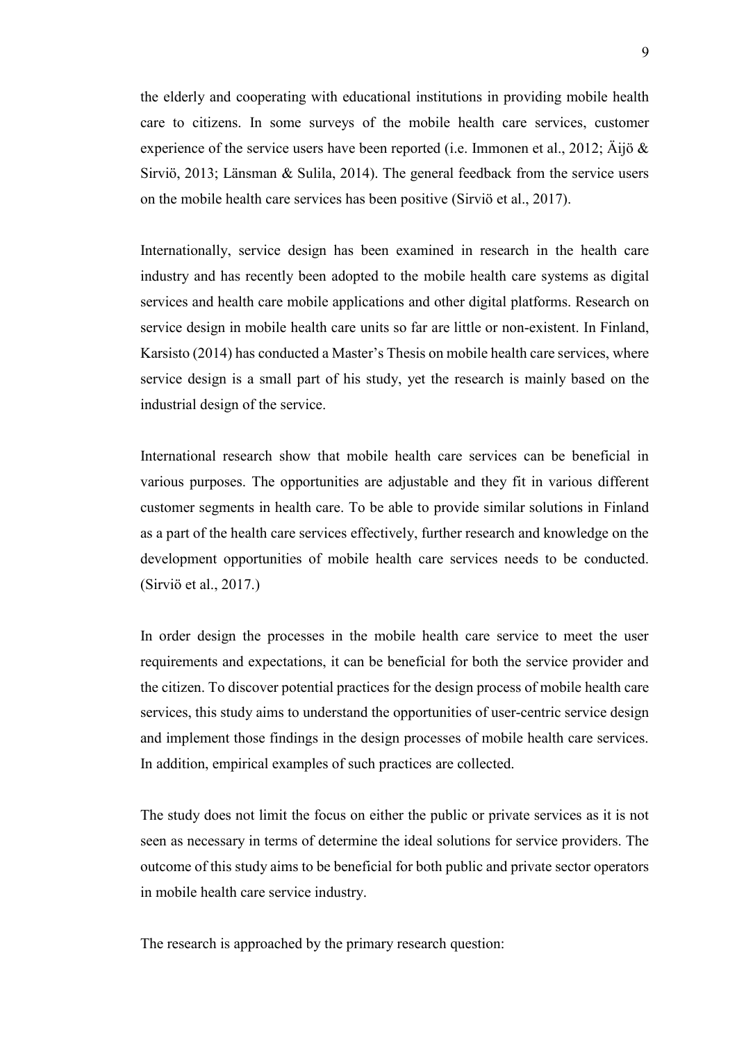the elderly and cooperating with educational institutions in providing mobile health care to citizens. In some surveys of the mobile health care services, customer experience of the service users have been reported (i.e. Immonen et al., 2012;  $\tilde{A}$ ijö & Sirviö, 2013; Länsman & Sulila, 2014). The general feedback from the service users on the mobile health care services has been positive (Sirviö et al., 2017).

Internationally, service design has been examined in research in the health care industry and has recently been adopted to the mobile health care systems as digital services and health care mobile applications and other digital platforms. Research on service design in mobile health care units so far are little or non-existent. In Finland, Karsisto (2014) has conducted a Master's Thesis on mobile health care services, where service design is a small part of his study, yet the research is mainly based on the industrial design of the service.

International research show that mobile health care services can be beneficial in various purposes. The opportunities are adjustable and they fit in various different customer segments in health care. To be able to provide similar solutions in Finland as a part of the health care services effectively, further research and knowledge on the development opportunities of mobile health care services needs to be conducted. (Sirviö et al., 2017.)

In order design the processes in the mobile health care service to meet the user requirements and expectations, it can be beneficial for both the service provider and the citizen. To discover potential practices for the design process of mobile health care services, this study aims to understand the opportunities of user-centric service design and implement those findings in the design processes of mobile health care services. In addition, empirical examples of such practices are collected.

The study does not limit the focus on either the public or private services as it is not seen as necessary in terms of determine the ideal solutions for service providers. The outcome of this study aims to be beneficial for both public and private sector operators in mobile health care service industry.

The research is approached by the primary research question: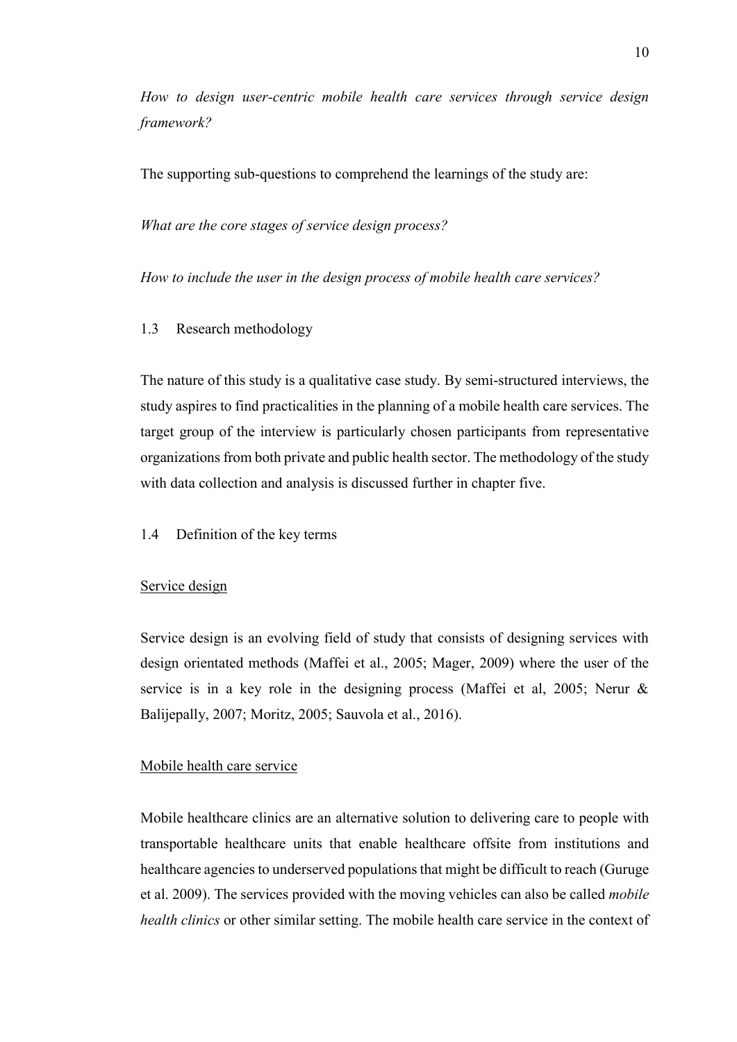*How to design user-centric mobile health care services through service design framework?*

The supporting sub-questions to comprehend the learnings of the study are:

*What are the core stages of service design process?*

*How to include the user in the design process of mobile health care services?*

#### <span id="page-9-0"></span>1.3 Research methodology

The nature of this study is a qualitative case study. By semi-structured interviews, the study aspires to find practicalities in the planning of a mobile health care services. The target group of the interview is particularly chosen participants from representative organizations from both private and public health sector. The methodology of the study with data collection and analysis is discussed further in chapter five.

#### <span id="page-9-1"></span>1.4 Definition of the key terms

#### Service design

Service design is an evolving field of study that consists of designing services with design orientated methods (Maffei et al., 2005; Mager, 2009) where the user of the service is in a key role in the designing process (Maffei et al, 2005; Nerur & Balijepally, 2007; Moritz, 2005; Sauvola et al., 2016).

#### Mobile health care service

Mobile healthcare clinics are an alternative solution to delivering care to people with transportable healthcare units that enable healthcare offsite from institutions and healthcare agencies to underserved populations that might be difficult to reach (Guruge et al. 2009). The services provided with the moving vehicles can also be called *mobile health clinics* or other similar setting. The mobile health care service in the context of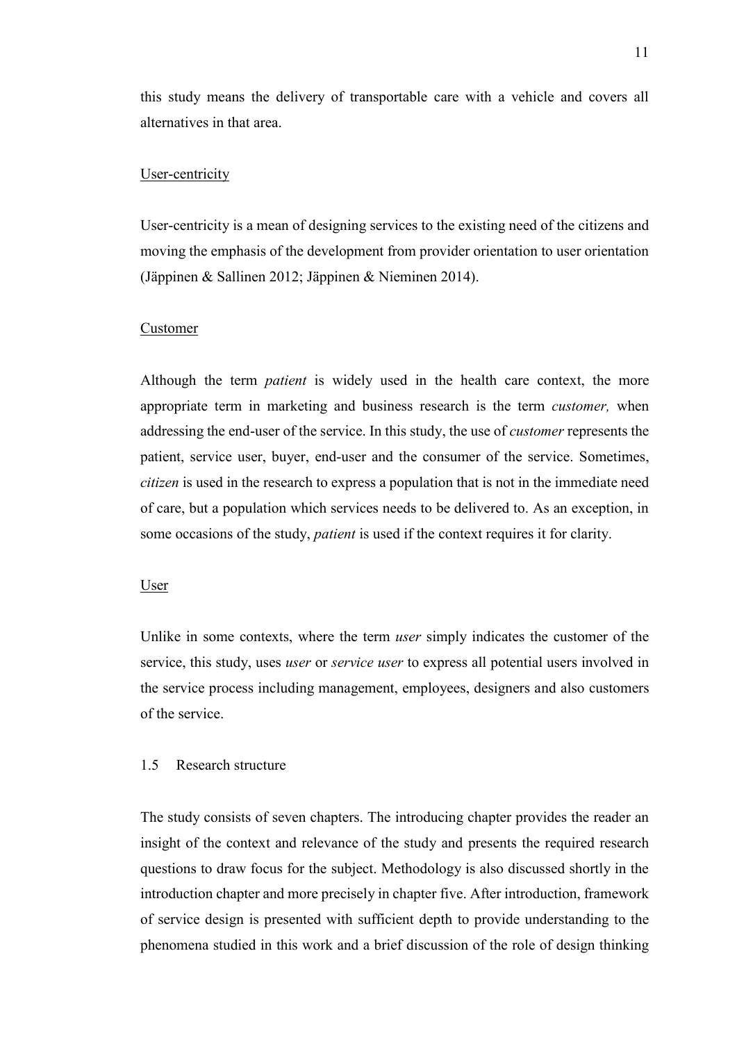this study means the delivery of transportable care with a vehicle and covers all alternatives in that area.

#### User-centricity

User-centricity is a mean of designing services to the existing need of the citizens and moving the emphasis of the development from provider orientation to user orientation (Jäppinen & Sallinen 2012; Jäppinen & Nieminen 2014).

#### Customer

Although the term *patient* is widely used in the health care context, the more appropriate term in marketing and business research is the term *customer,* when addressing the end-user of the service. In this study, the use of *customer* represents the patient, service user, buyer, end-user and the consumer of the service. Sometimes, *citizen* is used in the research to express a population that is not in the immediate need of care, but a population which services needs to be delivered to. As an exception, in some occasions of the study, *patient* is used if the context requires it for clarity.

#### User

Unlike in some contexts, where the term *user* simply indicates the customer of the service, this study, uses *user* or *service user* to express all potential users involved in the service process including management, employees, designers and also customers of the service.

#### <span id="page-10-0"></span>1.5 Research structure

The study consists of seven chapters. The introducing chapter provides the reader an insight of the context and relevance of the study and presents the required research questions to draw focus for the subject. Methodology is also discussed shortly in the introduction chapter and more precisely in chapter five. After introduction, framework of service design is presented with sufficient depth to provide understanding to the phenomena studied in this work and a brief discussion of the role of design thinking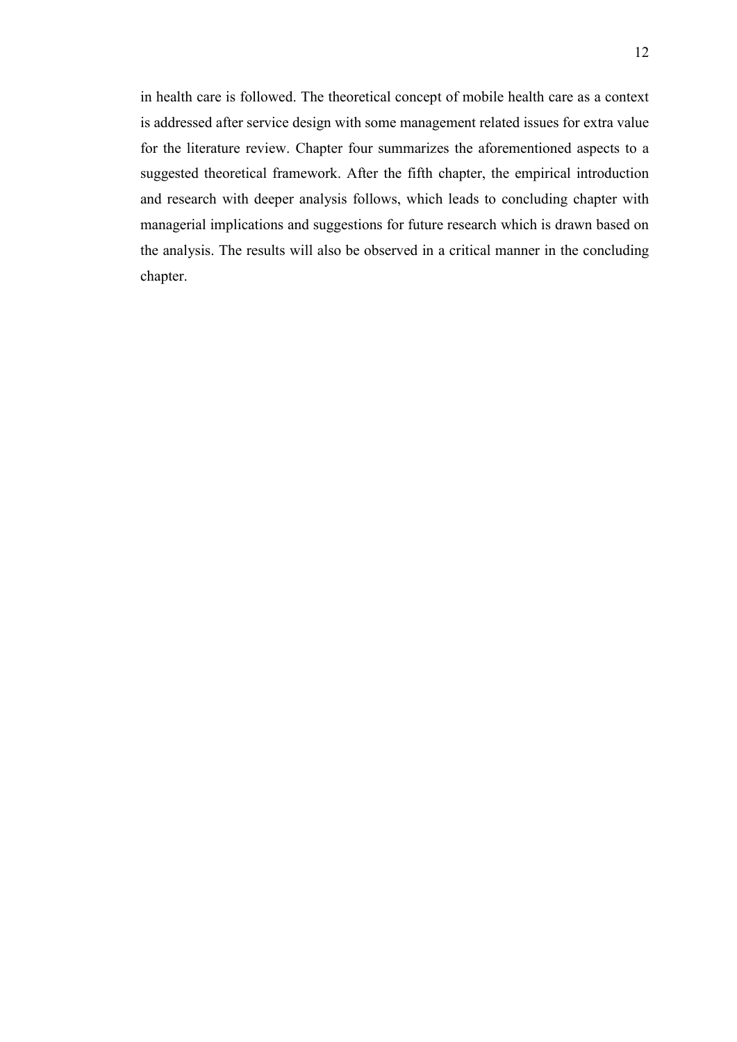in health care is followed. The theoretical concept of mobile health care as a context is addressed after service design with some management related issues for extra value for the literature review. Chapter four summarizes the aforementioned aspects to a suggested theoretical framework. After the fifth chapter, the empirical introduction and research with deeper analysis follows, which leads to concluding chapter with managerial implications and suggestions for future research which is drawn based on the analysis. The results will also be observed in a critical manner in the concluding chapter.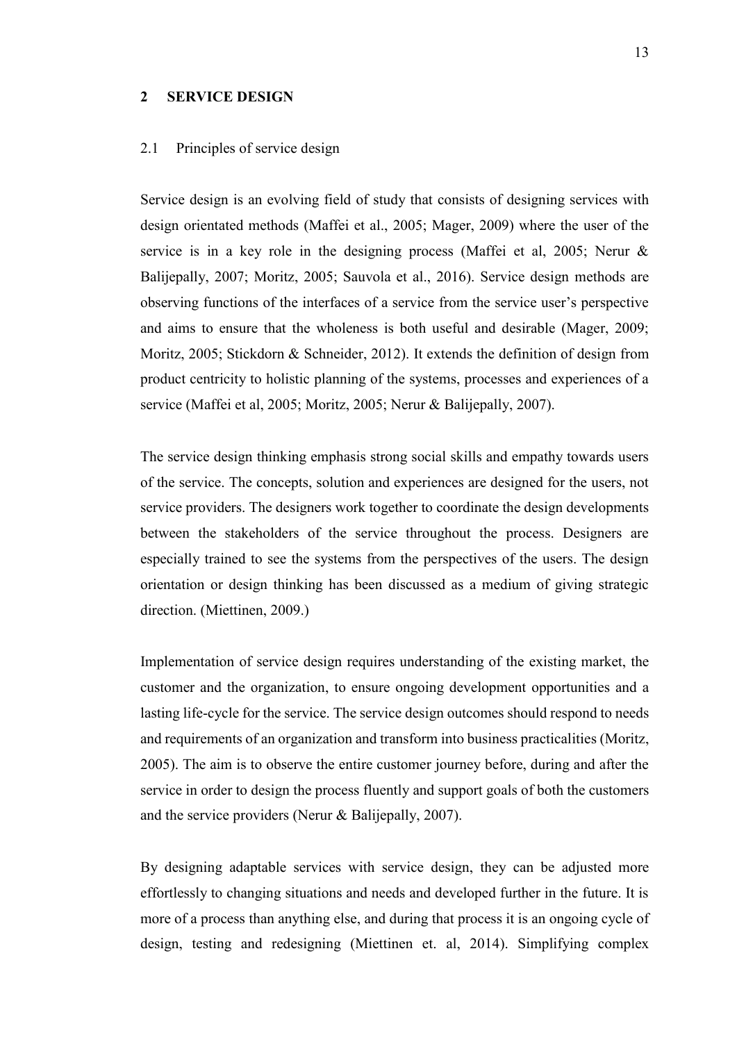#### <span id="page-12-1"></span><span id="page-12-0"></span>**2 SERVICE DESIGN**

#### 2.1 Principles of service design

Service design is an evolving field of study that consists of designing services with design orientated methods (Maffei et al., 2005; Mager, 2009) where the user of the service is in a key role in the designing process (Maffei et al, 2005; Nerur & Balijepally, 2007; Moritz, 2005; Sauvola et al., 2016). Service design methods are observing functions of the interfaces of a service from the service user's perspective and aims to ensure that the wholeness is both useful and desirable (Mager, 2009; Moritz, 2005; Stickdorn & Schneider, 2012). It extends the definition of design from product centricity to holistic planning of the systems, processes and experiences of a service (Maffei et al, 2005; Moritz, 2005; Nerur & Balijepally, 2007).

The service design thinking emphasis strong social skills and empathy towards users of the service. The concepts, solution and experiences are designed for the users, not service providers. The designers work together to coordinate the design developments between the stakeholders of the service throughout the process. Designers are especially trained to see the systems from the perspectives of the users. The design orientation or design thinking has been discussed as a medium of giving strategic direction. (Miettinen, 2009.)

Implementation of service design requires understanding of the existing market, the customer and the organization, to ensure ongoing development opportunities and a lasting life-cycle for the service. The service design outcomes should respond to needs and requirements of an organization and transform into business practicalities (Moritz, 2005). The aim is to observe the entire customer journey before, during and after the service in order to design the process fluently and support goals of both the customers and the service providers (Nerur & Balijepally, 2007).

By designing adaptable services with service design, they can be adjusted more effortlessly to changing situations and needs and developed further in the future. It is more of a process than anything else, and during that process it is an ongoing cycle of design, testing and redesigning (Miettinen et. al, 2014). Simplifying complex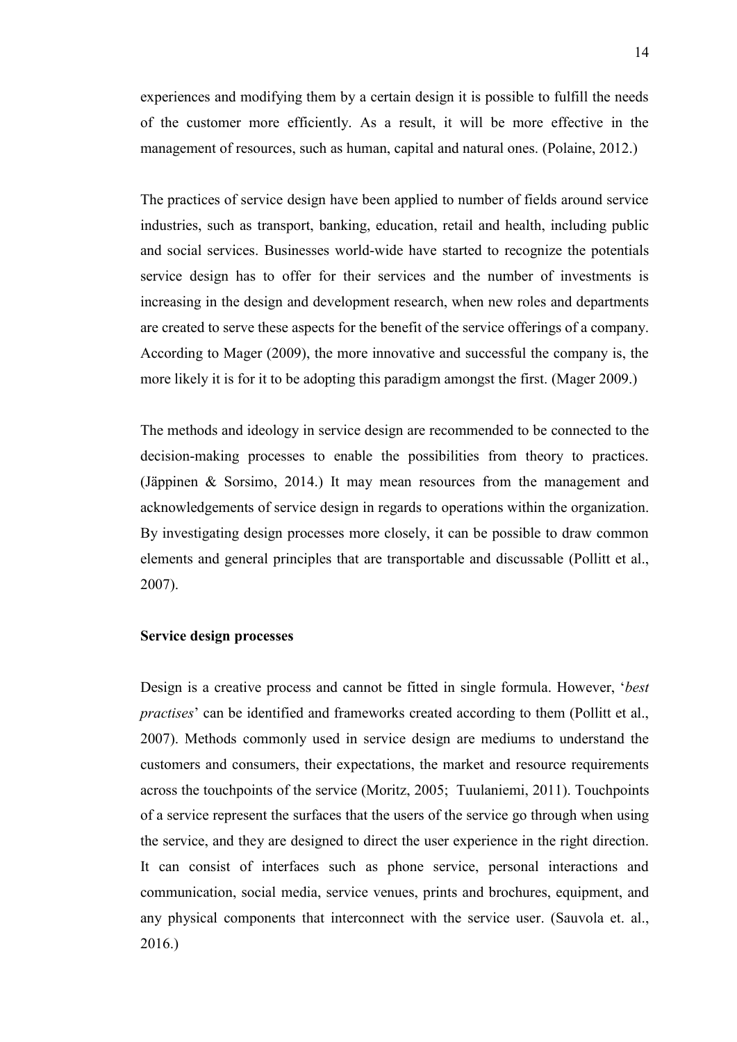experiences and modifying them by a certain design it is possible to fulfill the needs of the customer more efficiently. As a result, it will be more effective in the management of resources, such as human, capital and natural ones. (Polaine, 2012.)

The practices of service design have been applied to number of fields around service industries, such as transport, banking, education, retail and health, including public and social services. Businesses world-wide have started to recognize the potentials service design has to offer for their services and the number of investments is increasing in the design and development research, when new roles and departments are created to serve these aspects for the benefit of the service offerings of a company. According to Mager (2009), the more innovative and successful the company is, the more likely it is for it to be adopting this paradigm amongst the first. (Mager 2009.)

The methods and ideology in service design are recommended to be connected to the decision-making processes to enable the possibilities from theory to practices. (Jäppinen & Sorsimo, 2014.) It may mean resources from the management and acknowledgements of service design in regards to operations within the organization. By investigating design processes more closely, it can be possible to draw common elements and general principles that are transportable and discussable (Pollitt et al., 2007).

#### <span id="page-13-0"></span>**Service design processes**

Design is a creative process and cannot be fitted in single formula. However, '*best practises*' can be identified and frameworks created according to them (Pollitt et al., 2007). Methods commonly used in service design are mediums to understand the customers and consumers, their expectations, the market and resource requirements across the touchpoints of the service (Moritz, 2005; Tuulaniemi, 2011). Touchpoints of a service represent the surfaces that the users of the service go through when using the service, and they are designed to direct the user experience in the right direction. It can consist of interfaces such as phone service, personal interactions and communication, social media, service venues, prints and brochures, equipment, and any physical components that interconnect with the service user. (Sauvola et. al., 2016.)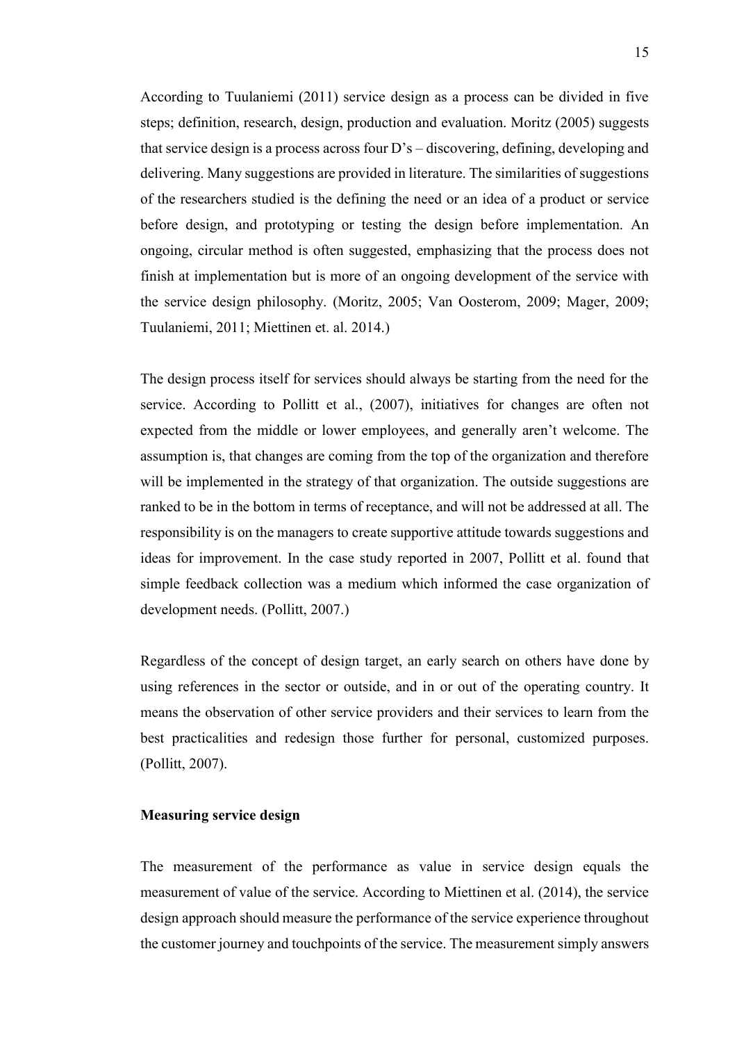According to Tuulaniemi (2011) service design as a process can be divided in five steps; definition, research, design, production and evaluation. Moritz (2005) suggests that service design is a process across four D's – discovering, defining, developing and delivering. Many suggestions are provided in literature. The similarities of suggestions of the researchers studied is the defining the need or an idea of a product or service before design, and prototyping or testing the design before implementation. An ongoing, circular method is often suggested, emphasizing that the process does not finish at implementation but is more of an ongoing development of the service with the service design philosophy. (Moritz, 2005; Van Oosterom, 2009; Mager, 2009; Tuulaniemi, 2011; Miettinen et. al. 2014.)

The design process itself for services should always be starting from the need for the service. According to Pollitt et al., (2007), initiatives for changes are often not expected from the middle or lower employees, and generally aren't welcome. The assumption is, that changes are coming from the top of the organization and therefore will be implemented in the strategy of that organization. The outside suggestions are ranked to be in the bottom in terms of receptance, and will not be addressed at all. The responsibility is on the managers to create supportive attitude towards suggestions and ideas for improvement. In the case study reported in 2007, Pollitt et al. found that simple feedback collection was a medium which informed the case organization of development needs. (Pollitt, 2007.)

Regardless of the concept of design target, an early search on others have done by using references in the sector or outside, and in or out of the operating country. It means the observation of other service providers and their services to learn from the best practicalities and redesign those further for personal, customized purposes. (Pollitt, 2007).

#### <span id="page-14-0"></span>**Measuring service design**

The measurement of the performance as value in service design equals the measurement of value of the service. According to Miettinen et al. (2014), the service design approach should measure the performance of the service experience throughout the customer journey and touchpoints of the service. The measurement simply answers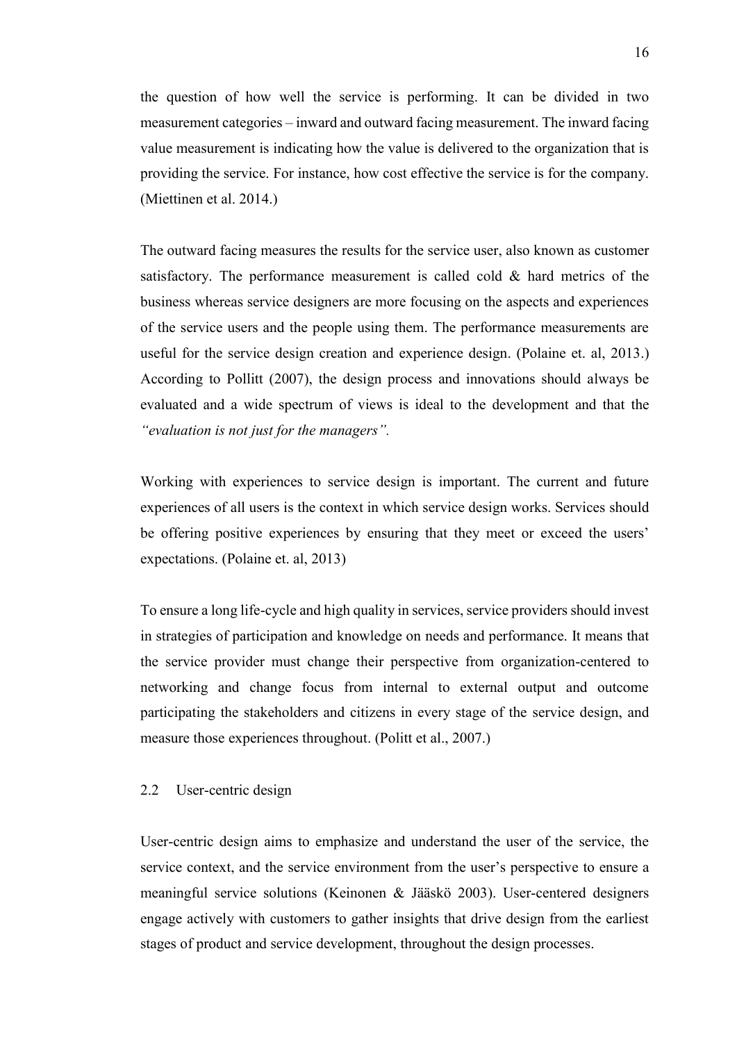the question of how well the service is performing. It can be divided in two measurement categories – inward and outward facing measurement. The inward facing value measurement is indicating how the value is delivered to the organization that is providing the service. For instance, how cost effective the service is for the company. (Miettinen et al. 2014.)

The outward facing measures the results for the service user, also known as customer satisfactory. The performance measurement is called cold & hard metrics of the business whereas service designers are more focusing on the aspects and experiences of the service users and the people using them. The performance measurements are useful for the service design creation and experience design. (Polaine et. al, 2013.) According to Pollitt (2007), the design process and innovations should always be evaluated and a wide spectrum of views is ideal to the development and that the *"evaluation is not just for the managers".*

Working with experiences to service design is important. The current and future experiences of all users is the context in which service design works. Services should be offering positive experiences by ensuring that they meet or exceed the users' expectations. (Polaine et. al, 2013)

To ensure a long life-cycle and high quality in services, service providers should invest in strategies of participation and knowledge on needs and performance. It means that the service provider must change their perspective from organization-centered to networking and change focus from internal to external output and outcome participating the stakeholders and citizens in every stage of the service design, and measure those experiences throughout. (Politt et al., 2007.)

#### <span id="page-15-0"></span>2.2 User-centric design

User-centric design aims to emphasize and understand the user of the service, the service context, and the service environment from the user's perspective to ensure a meaningful service solutions (Keinonen & Jääskö 2003). User-centered designers engage actively with customers to gather insights that drive design from the earliest stages of product and service development, throughout the design processes.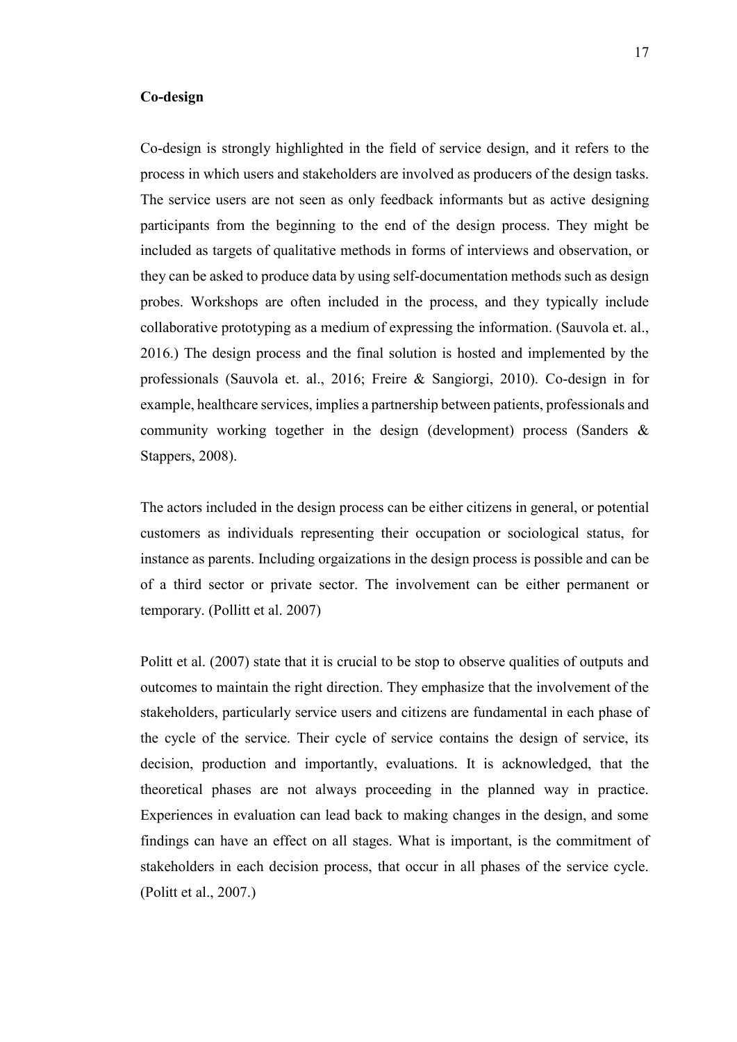#### <span id="page-16-0"></span>**Co-design**

Co-design is strongly highlighted in the field of service design, and it refers to the process in which users and stakeholders are involved as producers of the design tasks. The service users are not seen as only feedback informants but as active designing participants from the beginning to the end of the design process. They might be included as targets of qualitative methods in forms of interviews and observation, or they can be asked to produce data by using self-documentation methods such as design probes. Workshops are often included in the process, and they typically include collaborative prototyping as a medium of expressing the information. (Sauvola et. al., 2016.) The design process and the final solution is hosted and implemented by the professionals (Sauvola et. al., 2016; Freire & Sangiorgi, 2010). Co-design in for example, healthcare services, implies a partnership between patients, professionals and community working together in the design (development) process (Sanders & Stappers, 2008).

The actors included in the design process can be either citizens in general, or potential customers as individuals representing their occupation or sociological status, for instance as parents. Including orgaizations in the design process is possible and can be of a third sector or private sector. The involvement can be either permanent or temporary. (Pollitt et al. 2007)

Politt et al. (2007) state that it is crucial to be stop to observe qualities of outputs and outcomes to maintain the right direction. They emphasize that the involvement of the stakeholders, particularly service users and citizens are fundamental in each phase of the cycle of the service. Their cycle of service contains the design of service, its decision, production and importantly, evaluations. It is acknowledged, that the theoretical phases are not always proceeding in the planned way in practice. Experiences in evaluation can lead back to making changes in the design, and some findings can have an effect on all stages. What is important, is the commitment of stakeholders in each decision process, that occur in all phases of the service cycle. (Politt et al., 2007.)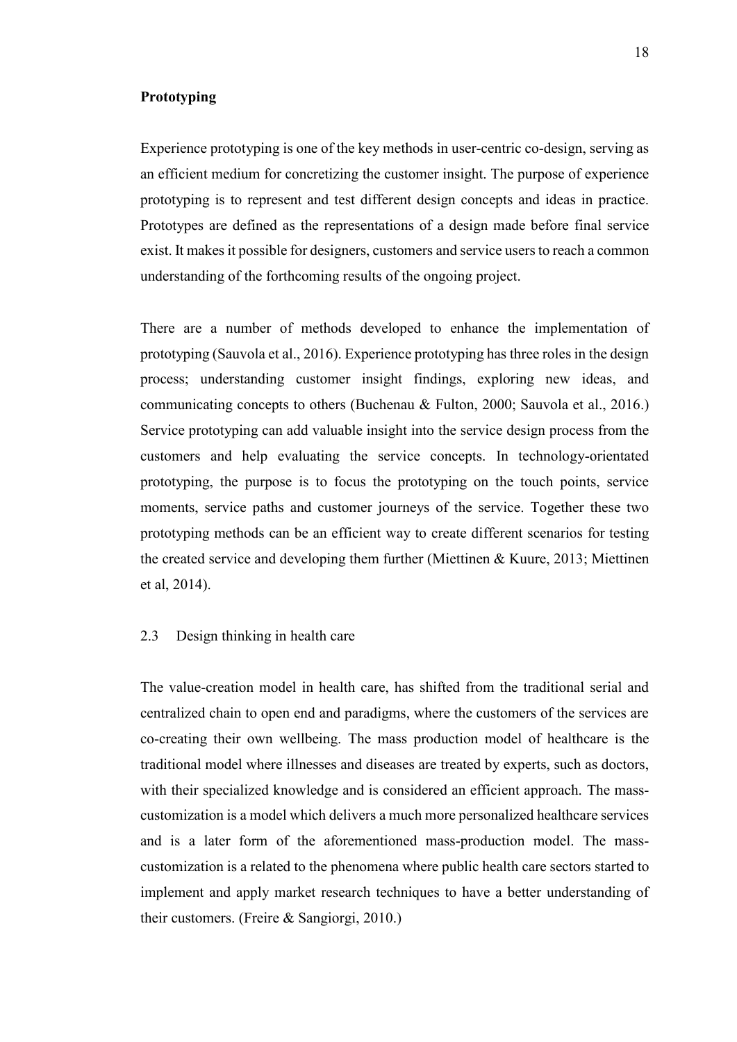#### <span id="page-17-0"></span>**Prototyping**

Experience prototyping is one of the key methods in user-centric co-design, serving as an efficient medium for concretizing the customer insight. The purpose of experience prototyping is to represent and test different design concepts and ideas in practice. Prototypes are defined as the representations of a design made before final service exist. It makes it possible for designers, customers and service users to reach a common understanding of the forthcoming results of the ongoing project.

There are a number of methods developed to enhance the implementation of prototyping (Sauvola et al., 2016). Experience prototyping has three roles in the design process; understanding customer insight findings, exploring new ideas, and communicating concepts to others (Buchenau & Fulton, 2000; Sauvola et al., 2016.) Service prototyping can add valuable insight into the service design process from the customers and help evaluating the service concepts. In technology-orientated prototyping, the purpose is to focus the prototyping on the touch points, service moments, service paths and customer journeys of the service. Together these two prototyping methods can be an efficient way to create different scenarios for testing the created service and developing them further (Miettinen & Kuure, 2013; Miettinen et al, 2014).

#### <span id="page-17-1"></span>2.3 Design thinking in health care

The value-creation model in health care, has shifted from the traditional serial and centralized chain to open end and paradigms, where the customers of the services are co-creating their own wellbeing. The mass production model of healthcare is the traditional model where illnesses and diseases are treated by experts, such as doctors, with their specialized knowledge and is considered an efficient approach. The masscustomization is a model which delivers a much more personalized healthcare services and is a later form of the aforementioned mass-production model. The masscustomization is a related to the phenomena where public health care sectors started to implement and apply market research techniques to have a better understanding of their customers. (Freire & Sangiorgi, 2010.)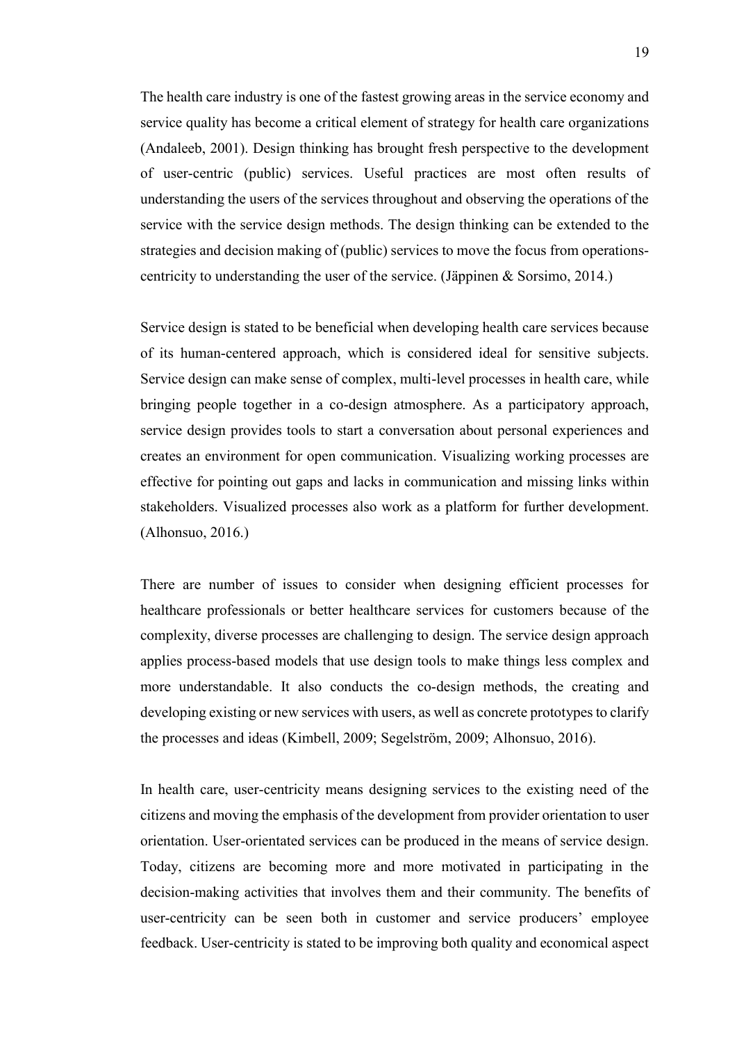The health care industry is one of the fastest growing areas in the service economy and service quality has become a critical element of strategy for health care organizations (Andaleeb, 2001). Design thinking has brought fresh perspective to the development of user-centric (public) services. Useful practices are most often results of understanding the users of the services throughout and observing the operations of the service with the service design methods. The design thinking can be extended to the strategies and decision making of (public) services to move the focus from operationscentricity to understanding the user of the service. (Jäppinen & Sorsimo, 2014.)

Service design is stated to be beneficial when developing health care services because of its human-centered approach, which is considered ideal for sensitive subjects. Service design can make sense of complex, multi-level processes in health care, while bringing people together in a co-design atmosphere. As a participatory approach, service design provides tools to start a conversation about personal experiences and creates an environment for open communication. Visualizing working processes are effective for pointing out gaps and lacks in communication and missing links within stakeholders. Visualized processes also work as a platform for further development. (Alhonsuo, 2016.)

There are number of issues to consider when designing efficient processes for healthcare professionals or better healthcare services for customers because of the complexity, diverse processes are challenging to design. The service design approach applies process-based models that use design tools to make things less complex and more understandable. It also conducts the co-design methods, the creating and developing existing or new services with users, as well as concrete prototypes to clarify the processes and ideas (Kimbell, 2009; Segelström, 2009; Alhonsuo, 2016).

In health care, user-centricity means designing services to the existing need of the citizens and moving the emphasis of the development from provider orientation to user orientation. User-orientated services can be produced in the means of service design. Today, citizens are becoming more and more motivated in participating in the decision-making activities that involves them and their community. The benefits of user-centricity can be seen both in customer and service producers' employee feedback. User-centricity is stated to be improving both quality and economical aspect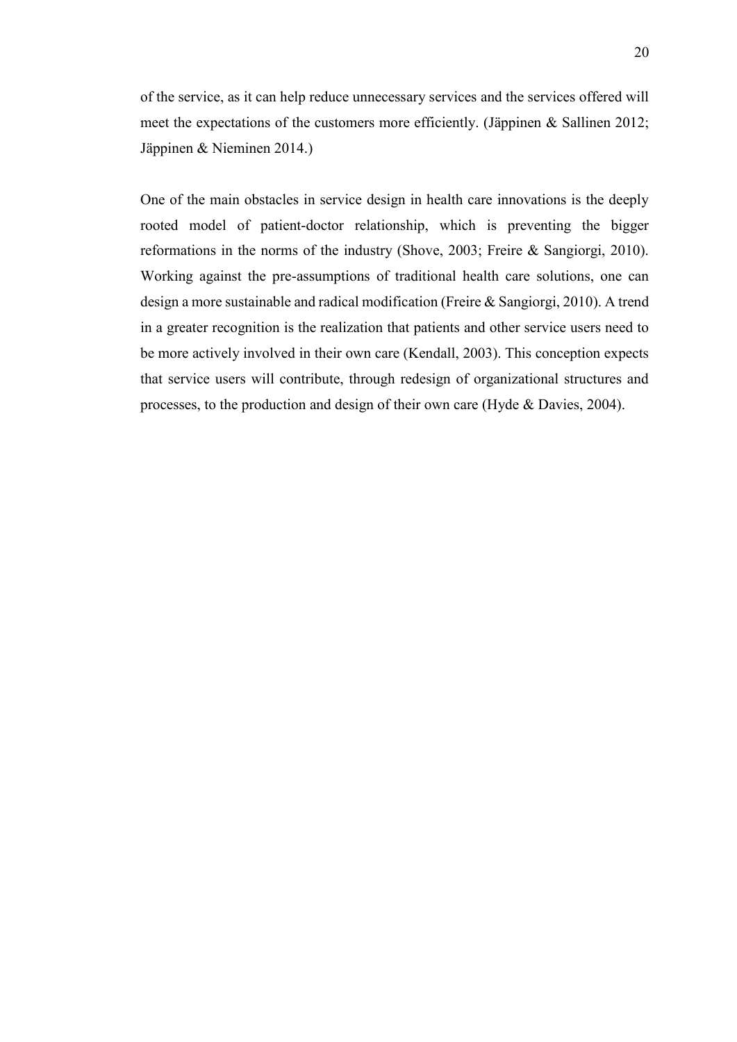of the service, as it can help reduce unnecessary services and the services offered will meet the expectations of the customers more efficiently. (Jäppinen & Sallinen 2012; Jäppinen & Nieminen 2014.)

One of the main obstacles in service design in health care innovations is the deeply rooted model of patient-doctor relationship, which is preventing the bigger reformations in the norms of the industry (Shove, 2003; Freire & Sangiorgi, 2010). Working against the pre-assumptions of traditional health care solutions, one can design a more sustainable and radical modification (Freire & Sangiorgi, 2010). A trend in a greater recognition is the realization that patients and other service users need to be more actively involved in their own care (Kendall, 2003). This conception expects that service users will contribute, through redesign of organizational structures and processes, to the production and design of their own care (Hyde & Davies, 2004).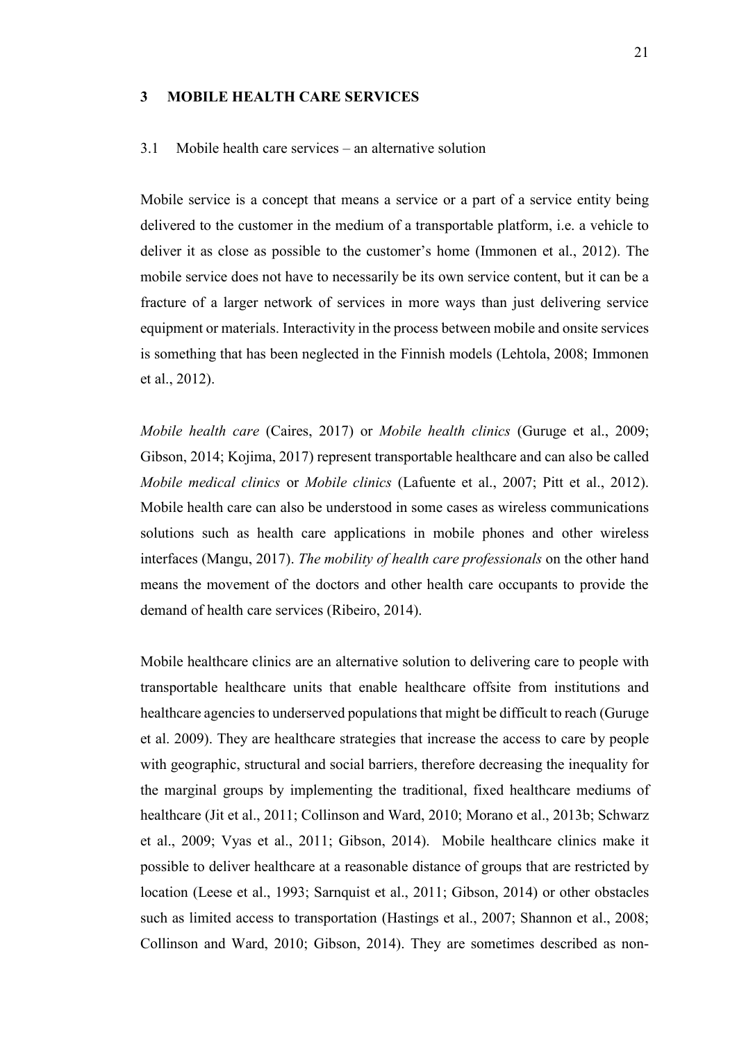#### <span id="page-20-0"></span>**3 MOBILE HEALTH CARE SERVICES**

#### <span id="page-20-1"></span>3.1 Mobile health care services – an alternative solution

Mobile service is a concept that means a service or a part of a service entity being delivered to the customer in the medium of a transportable platform, i.e. a vehicle to deliver it as close as possible to the customer's home (Immonen et al., 2012). The mobile service does not have to necessarily be its own service content, but it can be a fracture of a larger network of services in more ways than just delivering service equipment or materials. Interactivity in the process between mobile and onsite services is something that has been neglected in the Finnish models (Lehtola, 2008; Immonen et al., 2012).

*Mobile health care* (Caires, 2017) or *Mobile health clinics* (Guruge et al., 2009; Gibson, 2014; Kojima, 2017) represent transportable healthcare and can also be called *Mobile medical clinics* or *Mobile clinics* (Lafuente et al., 2007; Pitt et al., 2012). Mobile health care can also be understood in some cases as wireless communications solutions such as health care applications in mobile phones and other wireless interfaces (Mangu, 2017). *The mobility of health care professionals* on the other hand means the movement of the doctors and other health care occupants to provide the demand of health care services (Ribeiro, 2014).

Mobile healthcare clinics are an alternative solution to delivering care to people with transportable healthcare units that enable healthcare offsite from institutions and healthcare agencies to underserved populations that might be difficult to reach (Guruge et al. 2009). They are healthcare strategies that increase the access to care by people with geographic, structural and social barriers, therefore decreasing the inequality for the marginal groups by implementing the traditional, fixed healthcare mediums of healthcare (Jit et al., 2011; Collinson and Ward, 2010; Morano et al., 2013b; Schwarz et al., 2009; Vyas et al., 2011; Gibson, 2014). Mobile healthcare clinics make it possible to deliver healthcare at a reasonable distance of groups that are restricted by location (Leese et al., 1993; Sarnquist et al., 2011; Gibson, 2014) or other obstacles such as limited access to transportation (Hastings et al., 2007; Shannon et al., 2008; Collinson and Ward, 2010; Gibson, 2014). They are sometimes described as non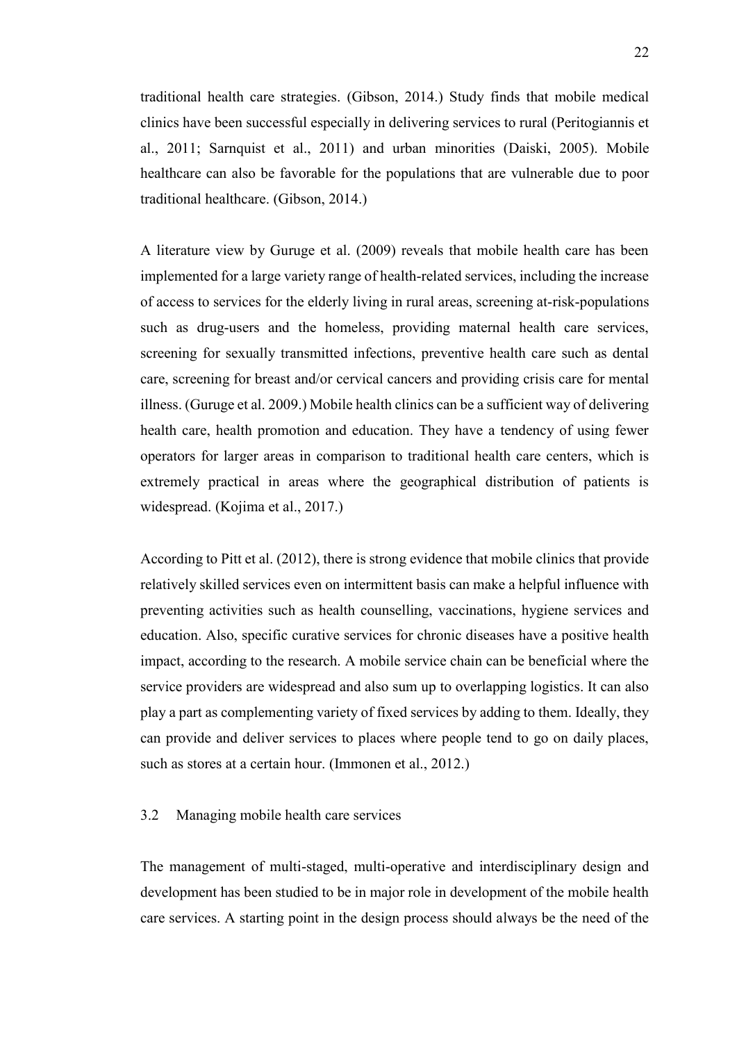traditional health care strategies. (Gibson, 2014.) Study finds that mobile medical clinics have been successful especially in delivering services to rural (Peritogiannis et al., 2011; Sarnquist et al., 2011) and urban minorities (Daiski, 2005). Mobile healthcare can also be favorable for the populations that are vulnerable due to poor traditional healthcare. (Gibson, 2014.)

A literature view by Guruge et al. (2009) reveals that mobile health care has been implemented for a large variety range of health-related services, including the increase of access to services for the elderly living in rural areas, screening at-risk-populations such as drug-users and the homeless, providing maternal health care services, screening for sexually transmitted infections, preventive health care such as dental care, screening for breast and/or cervical cancers and providing crisis care for mental illness. (Guruge et al. 2009.) Mobile health clinics can be a sufficient way of delivering health care, health promotion and education. They have a tendency of using fewer operators for larger areas in comparison to traditional health care centers, which is extremely practical in areas where the geographical distribution of patients is widespread. (Kojima et al., 2017.)

According to Pitt et al. (2012), there is strong evidence that mobile clinics that provide relatively skilled services even on intermittent basis can make a helpful influence with preventing activities such as health counselling, vaccinations, hygiene services and education. Also, specific curative services for chronic diseases have a positive health impact, according to the research. A mobile service chain can be beneficial where the service providers are widespread and also sum up to overlapping logistics. It can also play a part as complementing variety of fixed services by adding to them. Ideally, they can provide and deliver services to places where people tend to go on daily places, such as stores at a certain hour. (Immonen et al., 2012.)

#### <span id="page-21-0"></span>3.2 Managing mobile health care services

The management of multi-staged, multi-operative and interdisciplinary design and development has been studied to be in major role in development of the mobile health care services. A starting point in the design process should always be the need of the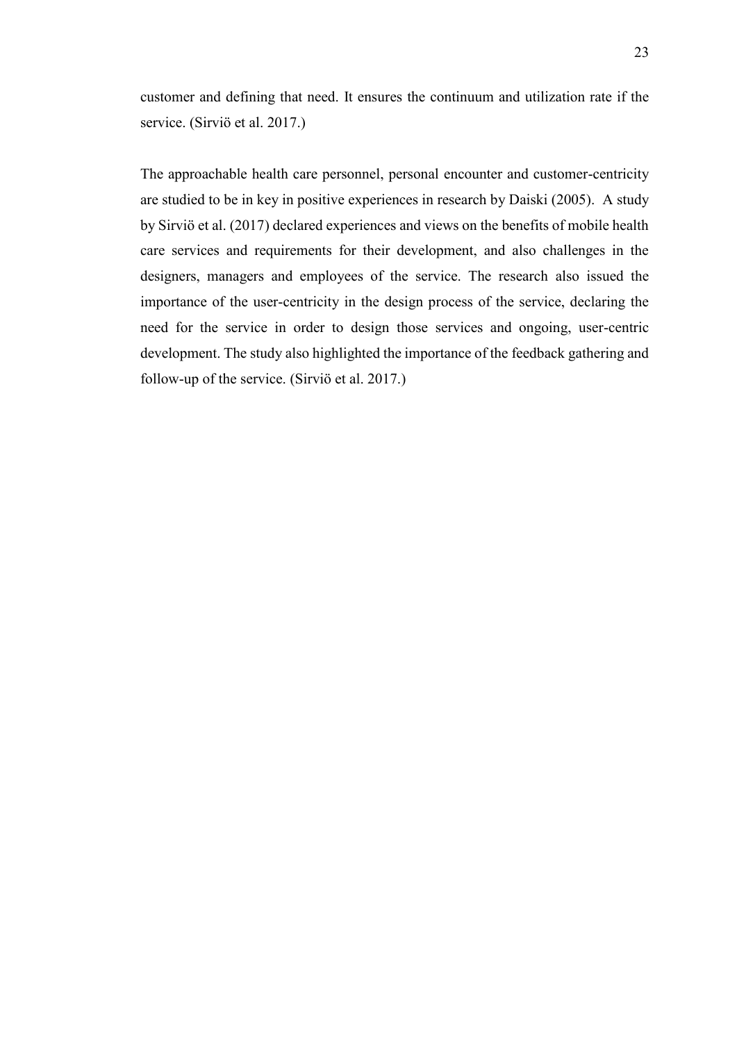customer and defining that need. It ensures the continuum and utilization rate if the service. (Sirviö et al. 2017.)

The approachable health care personnel, personal encounter and customer-centricity are studied to be in key in positive experiences in research by Daiski (2005). A study by Sirviö et al. (2017) declared experiences and views on the benefits of mobile health care services and requirements for their development, and also challenges in the designers, managers and employees of the service. The research also issued the importance of the user-centricity in the design process of the service, declaring the need for the service in order to design those services and ongoing, user-centric development. The study also highlighted the importance of the feedback gathering and follow-up of the service. (Sirviö et al. 2017.)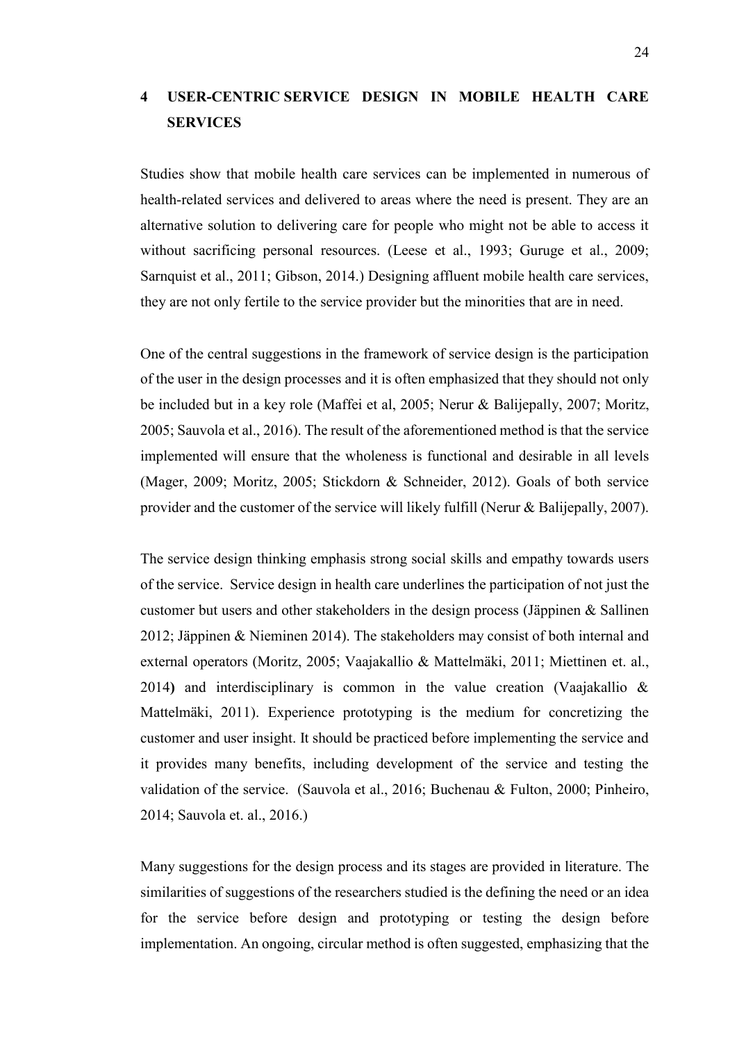## <span id="page-23-0"></span>**4 USER-CENTRIC SERVICE DESIGN IN MOBILE HEALTH CARE SERVICES**

Studies show that mobile health care services can be implemented in numerous of health-related services and delivered to areas where the need is present. They are an alternative solution to delivering care for people who might not be able to access it without sacrificing personal resources. (Leese et al., 1993; Guruge et al., 2009; Sarnquist et al., 2011; Gibson, 2014.) Designing affluent mobile health care services, they are not only fertile to the service provider but the minorities that are in need.

One of the central suggestions in the framework of service design is the participation of the user in the design processes and it is often emphasized that they should not only be included but in a key role (Maffei et al, 2005; Nerur & Balijepally, 2007; Moritz, 2005; Sauvola et al., 2016). The result of the aforementioned method is that the service implemented will ensure that the wholeness is functional and desirable in all levels (Mager, 2009; Moritz, 2005; Stickdorn & Schneider, 2012). Goals of both service provider and the customer of the service will likely fulfill (Nerur & Balijepally, 2007).

The service design thinking emphasis strong social skills and empathy towards users of the service. Service design in health care underlines the participation of not just the customer but users and other stakeholders in the design process (Jäppinen & Sallinen 2012; Jäppinen & Nieminen 2014). The stakeholders may consist of both internal and external operators (Moritz, 2005; Vaajakallio & Mattelmäki, 2011; Miettinen et. al., 2014**)** and interdisciplinary is common in the value creation (Vaajakallio & Mattelmäki, 2011). Experience prototyping is the medium for concretizing the customer and user insight. It should be practiced before implementing the service and it provides many benefits, including development of the service and testing the validation of the service. (Sauvola et al., 2016; Buchenau & Fulton, 2000; Pinheiro, 2014; Sauvola et. al., 2016.)

Many suggestions for the design process and its stages are provided in literature. The similarities of suggestions of the researchers studied is the defining the need or an idea for the service before design and prototyping or testing the design before implementation. An ongoing, circular method is often suggested, emphasizing that the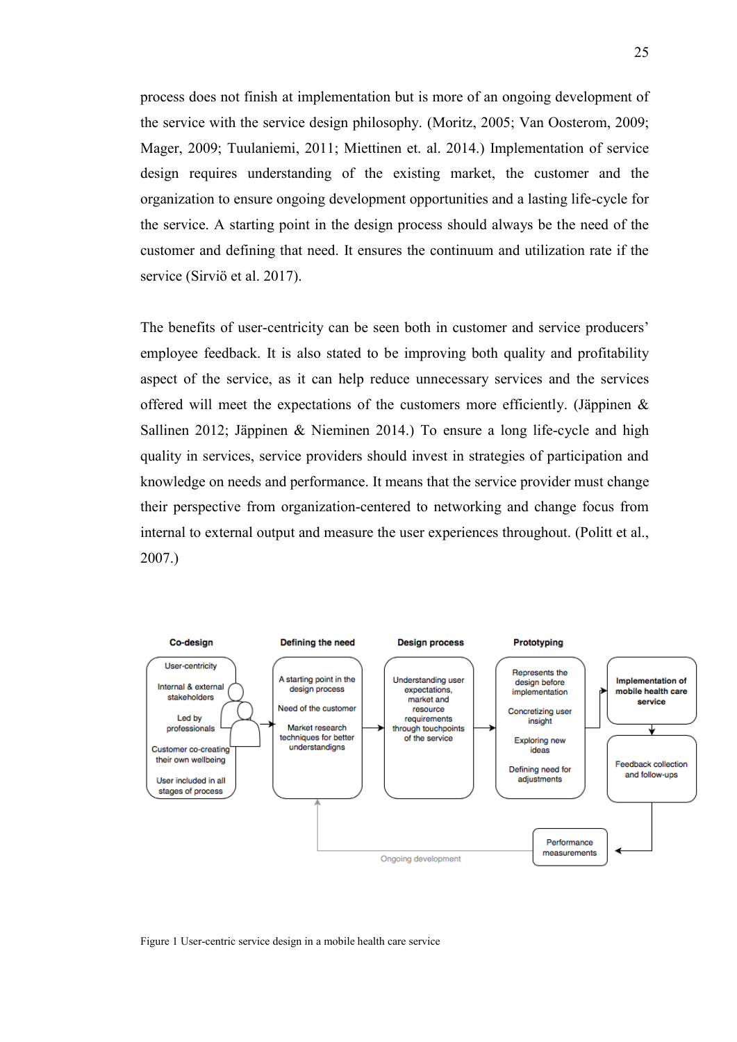process does not finish at implementation but is more of an ongoing development of the service with the service design philosophy. (Moritz, 2005; Van Oosterom, 2009; Mager, 2009; Tuulaniemi, 2011; Miettinen et. al. 2014.) Implementation of service design requires understanding of the existing market, the customer and the organization to ensure ongoing development opportunities and a lasting life-cycle for the service. A starting point in the design process should always be the need of the customer and defining that need. It ensures the continuum and utilization rate if the service (Sirviö et al. 2017).

The benefits of user-centricity can be seen both in customer and service producers' employee feedback. It is also stated to be improving both quality and profitability aspect of the service, as it can help reduce unnecessary services and the services offered will meet the expectations of the customers more efficiently. (Jäppinen & Sallinen 2012; Jäppinen & Nieminen 2014.) To ensure a long life-cycle and high quality in services, service providers should invest in strategies of participation and knowledge on needs and performance. It means that the service provider must change their perspective from organization-centered to networking and change focus from internal to external output and measure the user experiences throughout. (Politt et al., 2007.)



Figure 1 User-centric service design in a mobile health care service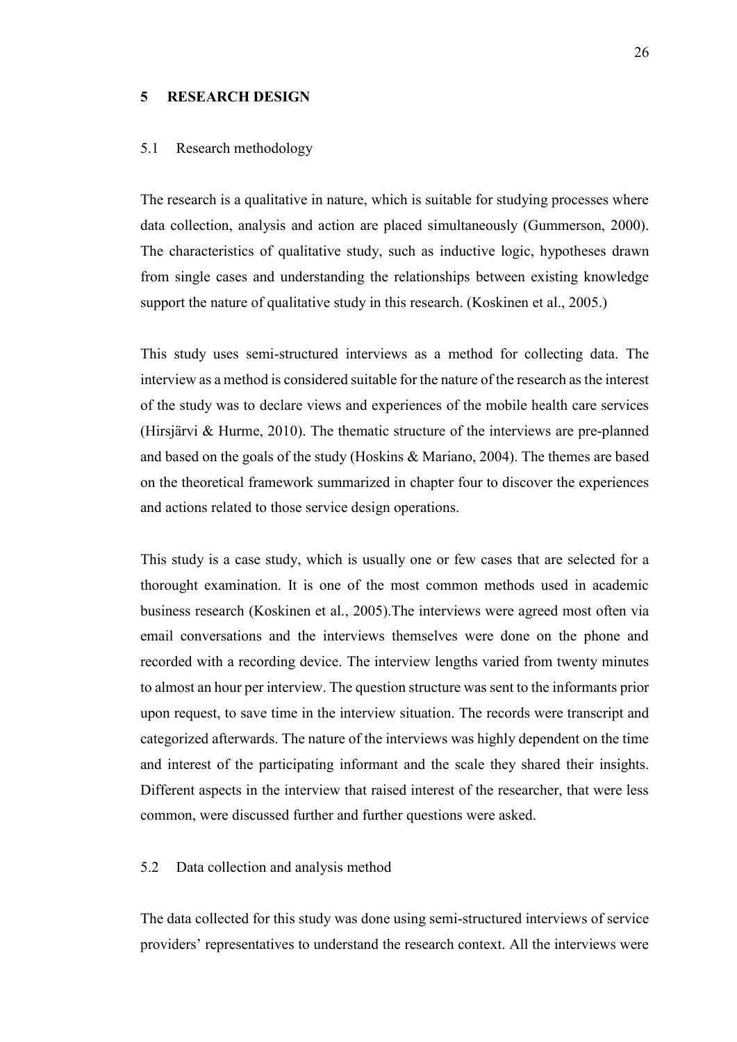#### <span id="page-25-0"></span>**5 RESEARCH DESIGN**

#### <span id="page-25-1"></span>5.1 Research methodology

The research is a qualitative in nature, which is suitable for studying processes where data collection, analysis and action are placed simultaneously (Gummerson, 2000). The characteristics of qualitative study, such as inductive logic, hypotheses drawn from single cases and understanding the relationships between existing knowledge support the nature of qualitative study in this research. (Koskinen et al., 2005.)

This study uses semi-structured interviews as a method for collecting data. The interview as a method is considered suitable for the nature of the research as the interest of the study was to declare views and experiences of the mobile health care services (Hirsjärvi & Hurme, 2010). The thematic structure of the interviews are pre-planned and based on the goals of the study (Hoskins & Mariano, 2004). The themes are based on the theoretical framework summarized in chapter four to discover the experiences and actions related to those service design operations.

This study is a case study, which is usually one or few cases that are selected for a thorought examination. It is one of the most common methods used in academic business research (Koskinen et al., 2005).The interviews were agreed most often via email conversations and the interviews themselves were done on the phone and recorded with a recording device. The interview lengths varied from twenty minutes to almost an hour per interview. The question structure was sent to the informants prior upon request, to save time in the interview situation. The records were transcript and categorized afterwards. The nature of the interviews was highly dependent on the time and interest of the participating informant and the scale they shared their insights. Different aspects in the interview that raised interest of the researcher, that were less common, were discussed further and further questions were asked.

#### <span id="page-25-2"></span>5.2 Data collection and analysis method

The data collected for this study was done using semi-structured interviews of service providers' representatives to understand the research context. All the interviews were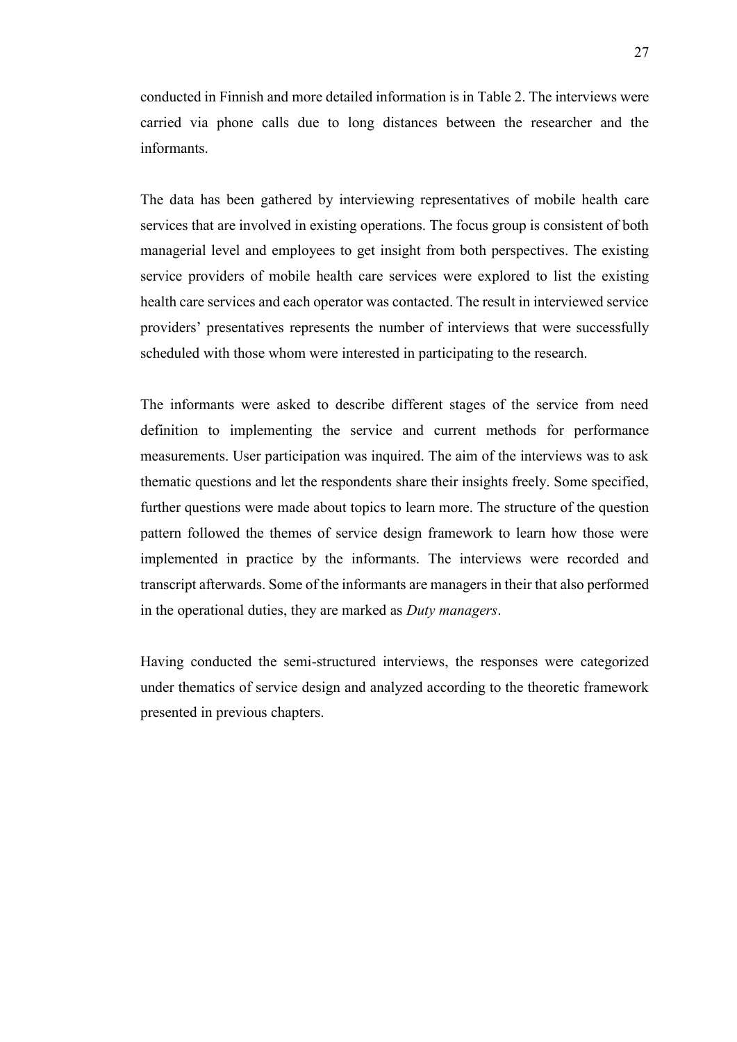conducted in Finnish and more detailed information is in Table 2. The interviews were carried via phone calls due to long distances between the researcher and the informants.

The data has been gathered by interviewing representatives of mobile health care services that are involved in existing operations. The focus group is consistent of both managerial level and employees to get insight from both perspectives. The existing service providers of mobile health care services were explored to list the existing health care services and each operator was contacted. The result in interviewed service providers' presentatives represents the number of interviews that were successfully scheduled with those whom were interested in participating to the research.

The informants were asked to describe different stages of the service from need definition to implementing the service and current methods for performance measurements. User participation was inquired. The aim of the interviews was to ask thematic questions and let the respondents share their insights freely. Some specified, further questions were made about topics to learn more. The structure of the question pattern followed the themes of service design framework to learn how those were implemented in practice by the informants. The interviews were recorded and transcript afterwards. Some of the informants are managers in their that also performed in the operational duties, they are marked as *Duty managers*.

Having conducted the semi-structured interviews, the responses were categorized under thematics of service design and analyzed according to the theoretic framework presented in previous chapters.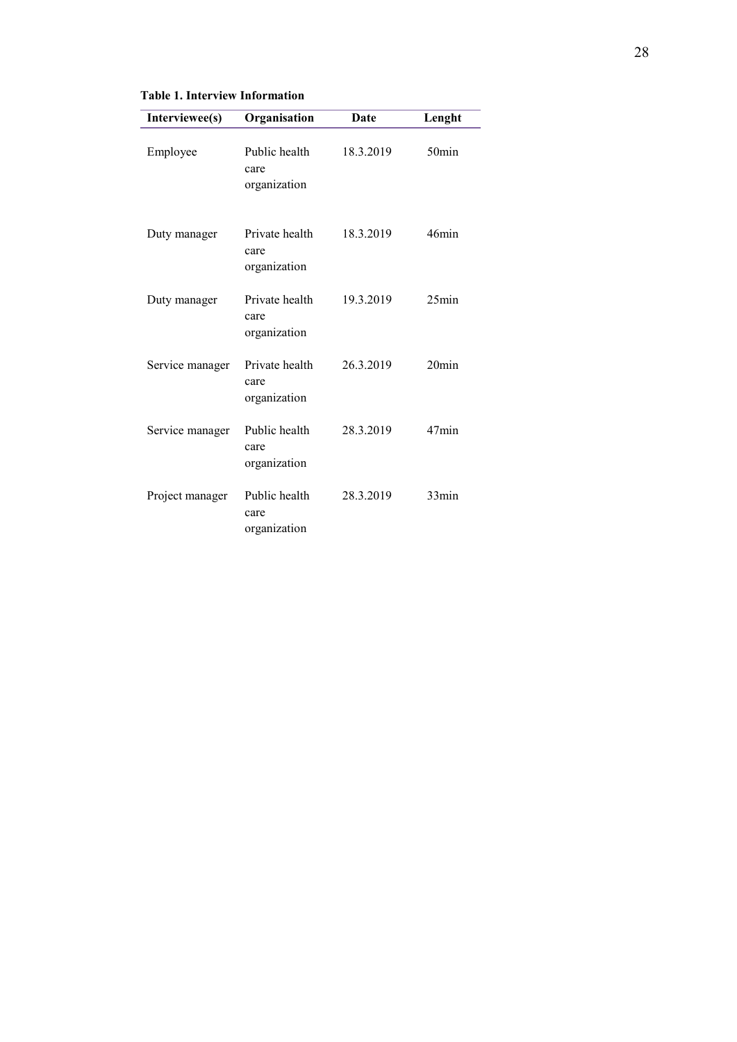#### **Table 1. Interview Information**

| Interviewee(s)  | Organisation                           | Date      | Lenght   |
|-----------------|----------------------------------------|-----------|----------|
| Employee        | Public health<br>care<br>organization  | 18.3.2019 | $50$ min |
| Duty manager    | Private health<br>care<br>organization | 18.3.2019 | 46min    |
| Duty manager    | Private health<br>care<br>organization | 19.3.2019 | $25$ min |
| Service manager | Private health<br>care<br>organization | 26.3.2019 | $20$ min |
| Service manager | Public health<br>care<br>organization  | 28.3.2019 | 47min    |
| Project manager | Public health<br>care<br>organization  | 28.3.2019 | 33min    |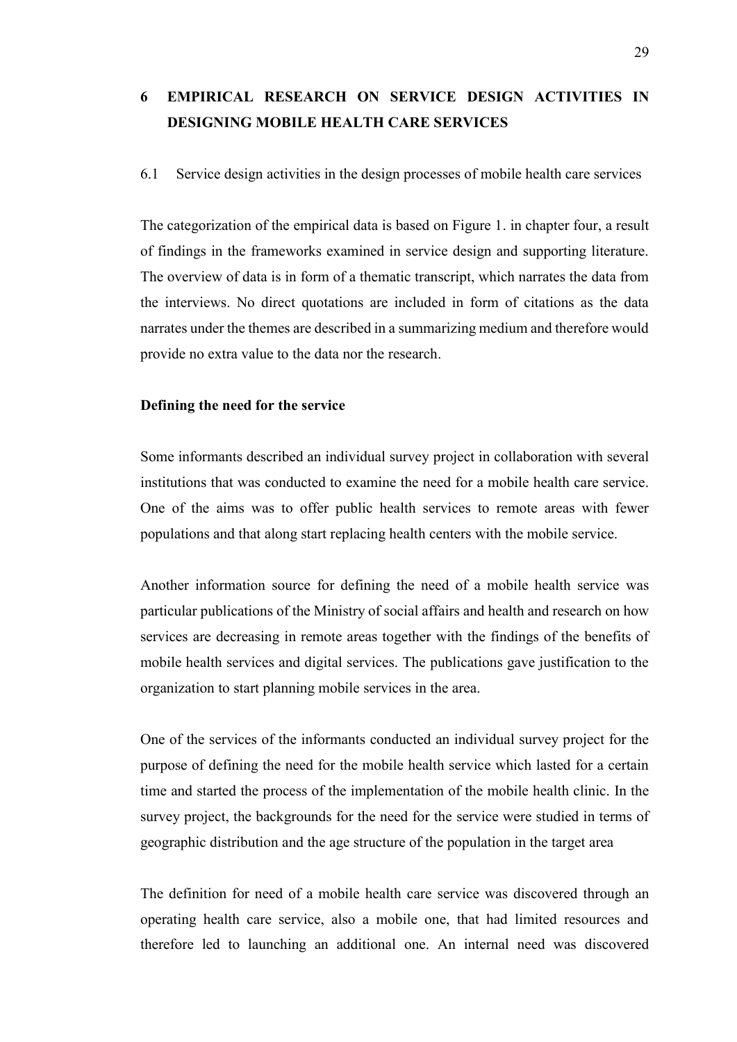## <span id="page-28-0"></span>**6 EMPIRICAL RESEARCH ON SERVICE DESIGN ACTIVITIES IN DESIGNING MOBILE HEALTH CARE SERVICES**

#### <span id="page-28-1"></span>6.1 Service design activities in the design processes of mobile health care services

The categorization of the empirical data is based on Figure 1. in chapter four, a result of findings in the frameworks examined in service design and supporting literature. The overview of data is in form of a thematic transcript, which narrates the data from the interviews. No direct quotations are included in form of citations as the data narrates under the themes are described in a summarizing medium and therefore would provide no extra value to the data nor the research.

#### <span id="page-28-2"></span>**Defining the need for the service**

Some informants described an individual survey project in collaboration with several institutions that was conducted to examine the need for a mobile health care service. One of the aims was to offer public health services to remote areas with fewer populations and that along start replacing health centers with the mobile service.

Another information source for defining the need of a mobile health service was particular publications of the Ministry of social affairs and health and research on how services are decreasing in remote areas together with the findings of the benefits of mobile health services and digital services. The publications gave justification to the organization to start planning mobile services in the area.

One of the services of the informants conducted an individual survey project for the purpose of defining the need for the mobile health service which lasted for a certain time and started the process of the implementation of the mobile health clinic. In the survey project, the backgrounds for the need for the service were studied in terms of geographic distribution and the age structure of the population in the target area

The definition for need of a mobile health care service was discovered through an operating health care service, also a mobile one, that had limited resources and therefore led to launching an additional one. An internal need was discovered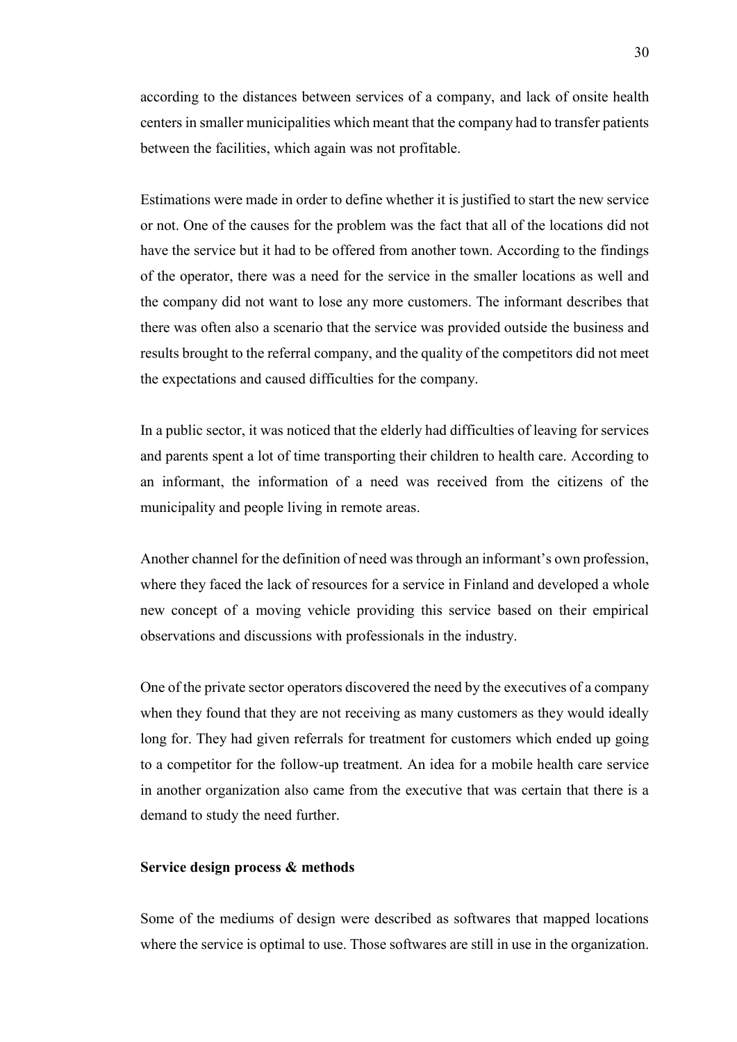according to the distances between services of a company, and lack of onsite health centers in smaller municipalities which meant that the company had to transfer patients between the facilities, which again was not profitable.

Estimations were made in order to define whether it is justified to start the new service or not. One of the causes for the problem was the fact that all of the locations did not have the service but it had to be offered from another town. According to the findings of the operator, there was a need for the service in the smaller locations as well and the company did not want to lose any more customers. The informant describes that there was often also a scenario that the service was provided outside the business and results brought to the referral company, and the quality of the competitors did not meet the expectations and caused difficulties for the company.

In a public sector, it was noticed that the elderly had difficulties of leaving for services and parents spent a lot of time transporting their children to health care. According to an informant, the information of a need was received from the citizens of the municipality and people living in remote areas.

Another channel for the definition of need was through an informant's own profession, where they faced the lack of resources for a service in Finland and developed a whole new concept of a moving vehicle providing this service based on their empirical observations and discussions with professionals in the industry.

One of the private sector operators discovered the need by the executives of a company when they found that they are not receiving as many customers as they would ideally long for. They had given referrals for treatment for customers which ended up going to a competitor for the follow-up treatment. An idea for a mobile health care service in another organization also came from the executive that was certain that there is a demand to study the need further.

#### <span id="page-29-0"></span>**Service design process & methods**

Some of the mediums of design were described as softwares that mapped locations where the service is optimal to use. Those softwares are still in use in the organization.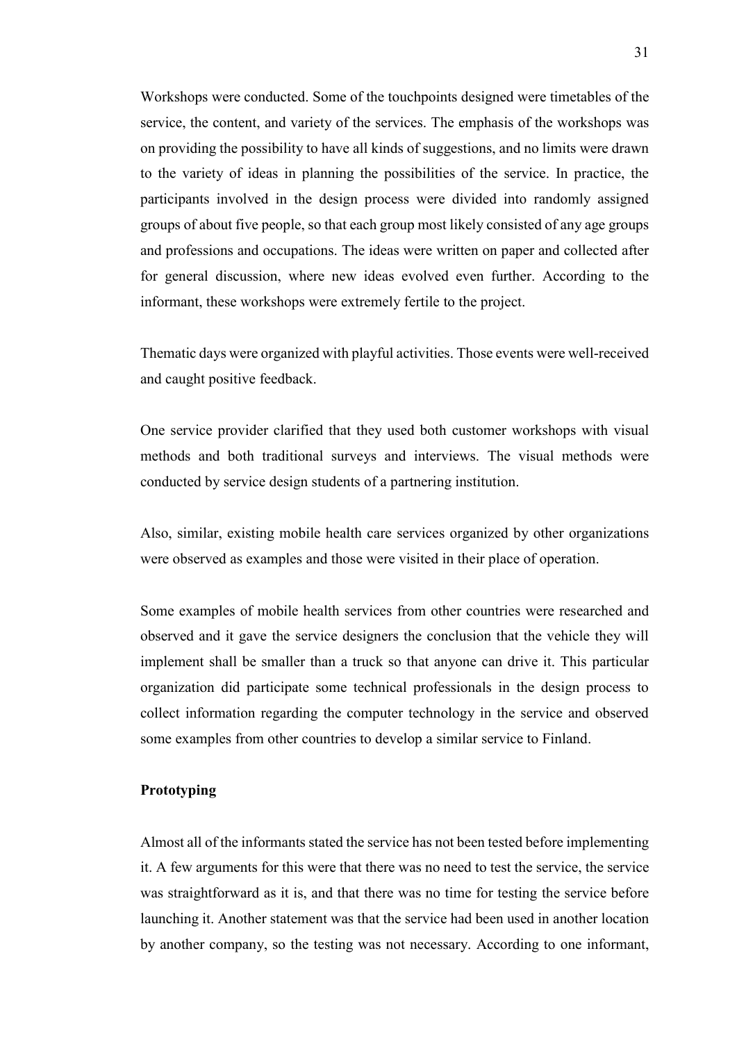Workshops were conducted. Some of the touchpoints designed were timetables of the service, the content, and variety of the services. The emphasis of the workshops was on providing the possibility to have all kinds of suggestions, and no limits were drawn to the variety of ideas in planning the possibilities of the service. In practice, the participants involved in the design process were divided into randomly assigned groups of about five people, so that each group most likely consisted of any age groups and professions and occupations. The ideas were written on paper and collected after for general discussion, where new ideas evolved even further. According to the informant, these workshops were extremely fertile to the project.

Thematic days were organized with playful activities. Those events were well-received and caught positive feedback.

One service provider clarified that they used both customer workshops with visual methods and both traditional surveys and interviews. The visual methods were conducted by service design students of a partnering institution.

Also, similar, existing mobile health care services organized by other organizations were observed as examples and those were visited in their place of operation.

Some examples of mobile health services from other countries were researched and observed and it gave the service designers the conclusion that the vehicle they will implement shall be smaller than a truck so that anyone can drive it. This particular organization did participate some technical professionals in the design process to collect information regarding the computer technology in the service and observed some examples from other countries to develop a similar service to Finland.

#### <span id="page-30-0"></span>**Prototyping**

Almost all of the informants stated the service has not been tested before implementing it. A few arguments for this were that there was no need to test the service, the service was straightforward as it is, and that there was no time for testing the service before launching it. Another statement was that the service had been used in another location by another company, so the testing was not necessary. According to one informant,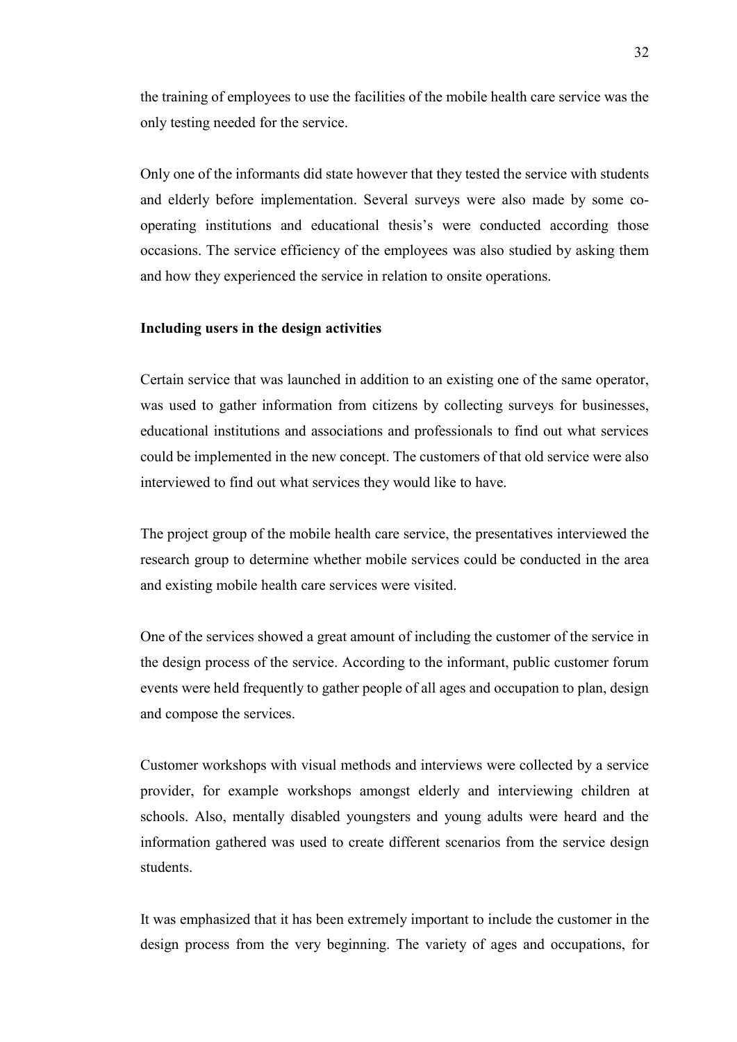the training of employees to use the facilities of the mobile health care service was the only testing needed for the service.

Only one of the informants did state however that they tested the service with students and elderly before implementation. Several surveys were also made by some cooperating institutions and educational thesis's were conducted according those occasions. The service efficiency of the employees was also studied by asking them and how they experienced the service in relation to onsite operations.

#### <span id="page-31-0"></span>**Including users in the design activities**

Certain service that was launched in addition to an existing one of the same operator, was used to gather information from citizens by collecting surveys for businesses, educational institutions and associations and professionals to find out what services could be implemented in the new concept. The customers of that old service were also interviewed to find out what services they would like to have.

The project group of the mobile health care service, the presentatives interviewed the research group to determine whether mobile services could be conducted in the area and existing mobile health care services were visited.

One of the services showed a great amount of including the customer of the service in the design process of the service. According to the informant, public customer forum events were held frequently to gather people of all ages and occupation to plan, design and compose the services.

Customer workshops with visual methods and interviews were collected by a service provider, for example workshops amongst elderly and interviewing children at schools. Also, mentally disabled youngsters and young adults were heard and the information gathered was used to create different scenarios from the service design students.

It was emphasized that it has been extremely important to include the customer in the design process from the very beginning. The variety of ages and occupations, for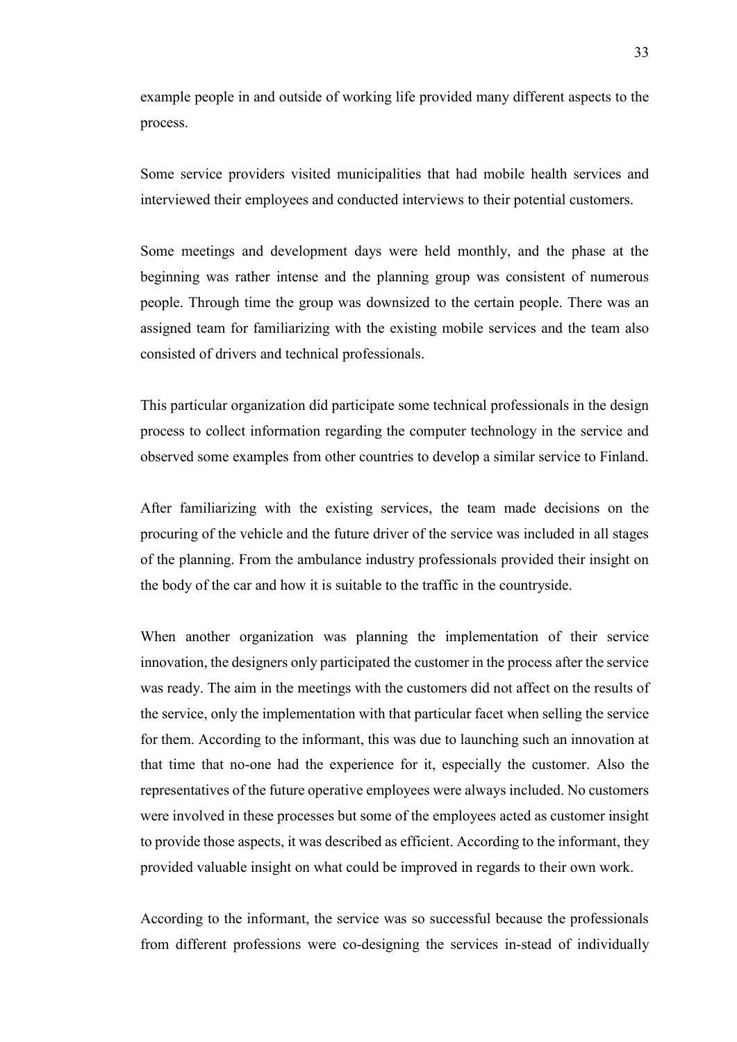example people in and outside of working life provided many different aspects to the process.

Some service providers visited municipalities that had mobile health services and interviewed their employees and conducted interviews to their potential customers.

Some meetings and development days were held monthly, and the phase at the beginning was rather intense and the planning group was consistent of numerous people. Through time the group was downsized to the certain people. There was an assigned team for familiarizing with the existing mobile services and the team also consisted of drivers and technical professionals.

This particular organization did participate some technical professionals in the design process to collect information regarding the computer technology in the service and observed some examples from other countries to develop a similar service to Finland.

After familiarizing with the existing services, the team made decisions on the procuring of the vehicle and the future driver of the service was included in all stages of the planning. From the ambulance industry professionals provided their insight on the body of the car and how it is suitable to the traffic in the countryside.

When another organization was planning the implementation of their service innovation, the designers only participated the customer in the process after the service was ready. The aim in the meetings with the customers did not affect on the results of the service, only the implementation with that particular facet when selling the service for them. According to the informant, this was due to launching such an innovation at that time that no-one had the experience for it, especially the customer. Also the representatives of the future operative employees were always included. No customers were involved in these processes but some of the employees acted as customer insight to provide those aspects, it was described as efficient. According to the informant, they provided valuable insight on what could be improved in regards to their own work.

According to the informant, the service was so successful because the professionals from different professions were co-designing the services in-stead of individually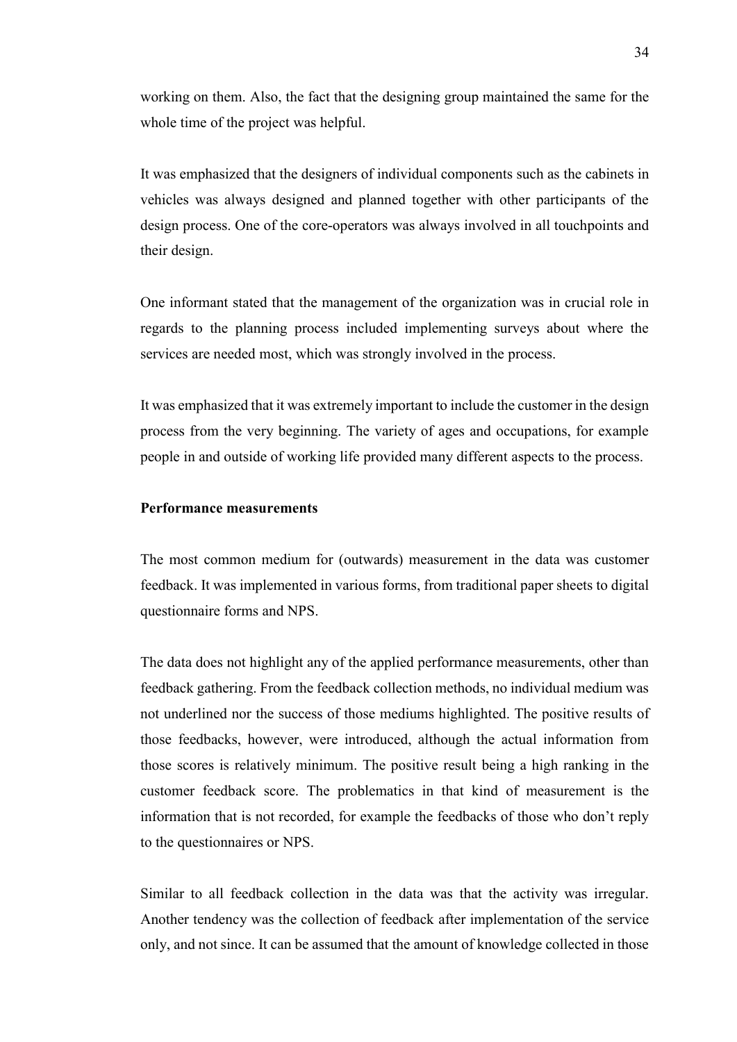working on them. Also, the fact that the designing group maintained the same for the whole time of the project was helpful.

It was emphasized that the designers of individual components such as the cabinets in vehicles was always designed and planned together with other participants of the design process. One of the core-operators was always involved in all touchpoints and their design.

One informant stated that the management of the organization was in crucial role in regards to the planning process included implementing surveys about where the services are needed most, which was strongly involved in the process.

It was emphasized that it was extremely important to include the customer in the design process from the very beginning. The variety of ages and occupations, for example people in and outside of working life provided many different aspects to the process.

#### <span id="page-33-0"></span>**Performance measurements**

The most common medium for (outwards) measurement in the data was customer feedback. It was implemented in various forms, from traditional paper sheets to digital questionnaire forms and NPS.

The data does not highlight any of the applied performance measurements, other than feedback gathering. From the feedback collection methods, no individual medium was not underlined nor the success of those mediums highlighted. The positive results of those feedbacks, however, were introduced, although the actual information from those scores is relatively minimum. The positive result being a high ranking in the customer feedback score. The problematics in that kind of measurement is the information that is not recorded, for example the feedbacks of those who don't reply to the questionnaires or NPS.

Similar to all feedback collection in the data was that the activity was irregular. Another tendency was the collection of feedback after implementation of the service only, and not since. It can be assumed that the amount of knowledge collected in those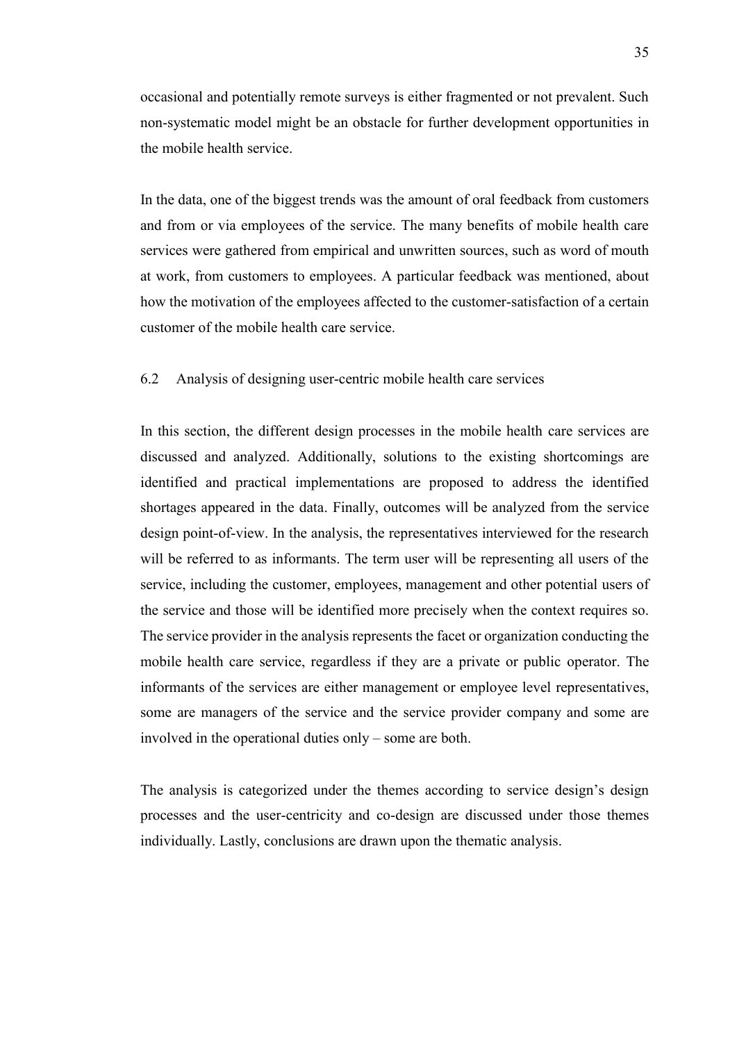occasional and potentially remote surveys is either fragmented or not prevalent. Such non-systematic model might be an obstacle for further development opportunities in the mobile health service.

In the data, one of the biggest trends was the amount of oral feedback from customers and from or via employees of the service. The many benefits of mobile health care services were gathered from empirical and unwritten sources, such as word of mouth at work, from customers to employees. A particular feedback was mentioned, about how the motivation of the employees affected to the customer-satisfaction of a certain customer of the mobile health care service.

#### <span id="page-34-0"></span>6.2 Analysis of designing user-centric mobile health care services

In this section, the different design processes in the mobile health care services are discussed and analyzed. Additionally, solutions to the existing shortcomings are identified and practical implementations are proposed to address the identified shortages appeared in the data. Finally, outcomes will be analyzed from the service design point-of-view. In the analysis, the representatives interviewed for the research will be referred to as informants. The term user will be representing all users of the service, including the customer, employees, management and other potential users of the service and those will be identified more precisely when the context requires so. The service provider in the analysis represents the facet or organization conducting the mobile health care service, regardless if they are a private or public operator. The informants of the services are either management or employee level representatives, some are managers of the service and the service provider company and some are involved in the operational duties only – some are both.

The analysis is categorized under the themes according to service design's design processes and the user-centricity and co-design are discussed under those themes individually. Lastly, conclusions are drawn upon the thematic analysis.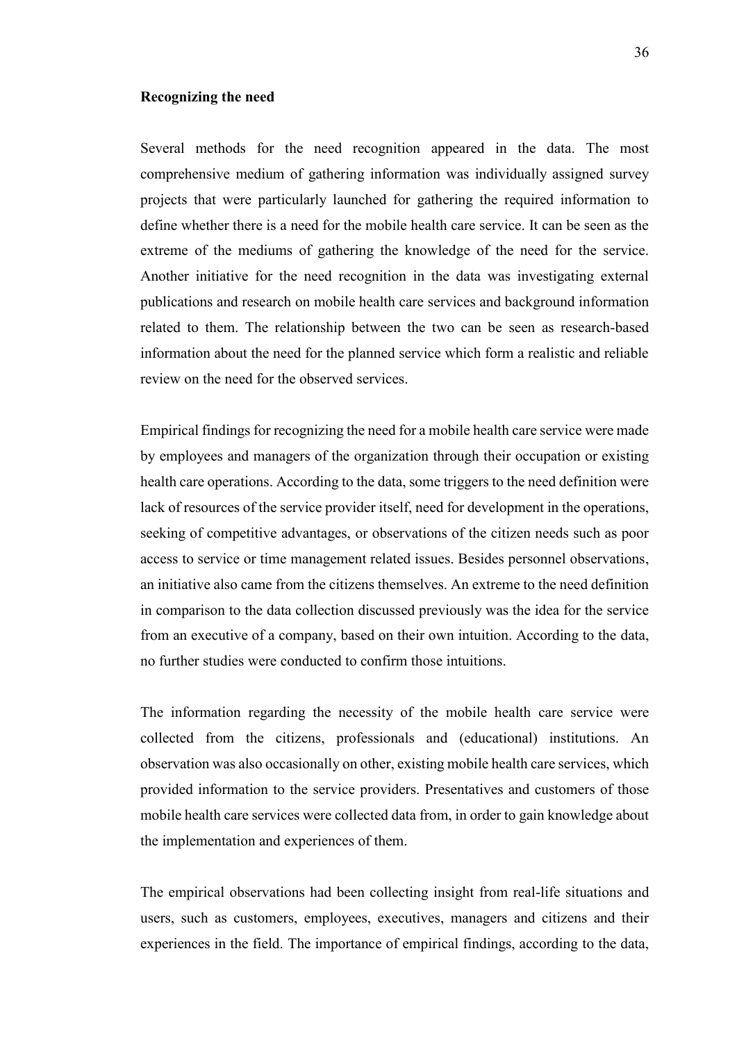#### <span id="page-35-0"></span>**Recognizing the need**

Several methods for the need recognition appeared in the data. The most comprehensive medium of gathering information was individually assigned survey projects that were particularly launched for gathering the required information to define whether there is a need for the mobile health care service. It can be seen as the extreme of the mediums of gathering the knowledge of the need for the service. Another initiative for the need recognition in the data was investigating external publications and research on mobile health care services and background information related to them. The relationship between the two can be seen as research-based information about the need for the planned service which form a realistic and reliable review on the need for the observed services.

Empirical findings for recognizing the need for a mobile health care service were made by employees and managers of the organization through their occupation or existing health care operations. According to the data, some triggers to the need definition were lack of resources of the service provider itself, need for development in the operations, seeking of competitive advantages, or observations of the citizen needs such as poor access to service or time management related issues. Besides personnel observations, an initiative also came from the citizens themselves. An extreme to the need definition in comparison to the data collection discussed previously was the idea for the service from an executive of a company, based on their own intuition. According to the data, no further studies were conducted to confirm those intuitions.

The information regarding the necessity of the mobile health care service were collected from the citizens, professionals and (educational) institutions. An observation was also occasionally on other, existing mobile health care services, which provided information to the service providers. Presentatives and customers of those mobile health care services were collected data from, in order to gain knowledge about the implementation and experiences of them.

The empirical observations had been collecting insight from real-life situations and users, such as customers, employees, executives, managers and citizens and their experiences in the field. The importance of empirical findings, according to the data,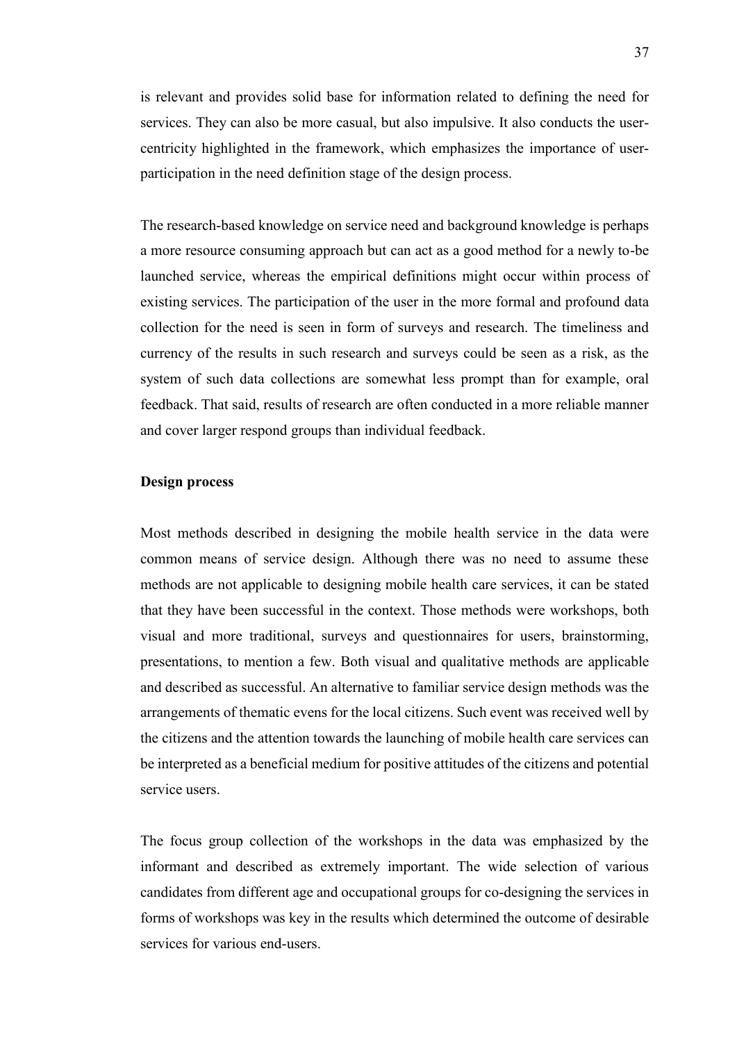is relevant and provides solid base for information related to defining the need for services. They can also be more casual, but also impulsive. It also conducts the usercentricity highlighted in the framework, which emphasizes the importance of userparticipation in the need definition stage of the design process.

The research-based knowledge on service need and background knowledge is perhaps a more resource consuming approach but can act as a good method for a newly to-be launched service, whereas the empirical definitions might occur within process of existing services. The participation of the user in the more formal and profound data collection for the need is seen in form of surveys and research. The timeliness and currency of the results in such research and surveys could be seen as a risk, as the system of such data collections are somewhat less prompt than for example, oral feedback. That said, results of research are often conducted in a more reliable manner and cover larger respond groups than individual feedback.

#### <span id="page-36-0"></span>**Design process**

Most methods described in designing the mobile health service in the data were common means of service design. Although there was no need to assume these methods are not applicable to designing mobile health care services, it can be stated that they have been successful in the context. Those methods were workshops, both visual and more traditional, surveys and questionnaires for users, brainstorming, presentations, to mention a few. Both visual and qualitative methods are applicable and described as successful. An alternative to familiar service design methods was the arrangements of thematic evens for the local citizens. Such event was received well by the citizens and the attention towards the launching of mobile health care services can be interpreted as a beneficial medium for positive attitudes of the citizens and potential service users.

The focus group collection of the workshops in the data was emphasized by the informant and described as extremely important. The wide selection of various candidates from different age and occupational groups for co-designing the services in forms of workshops was key in the results which determined the outcome of desirable services for various end-users.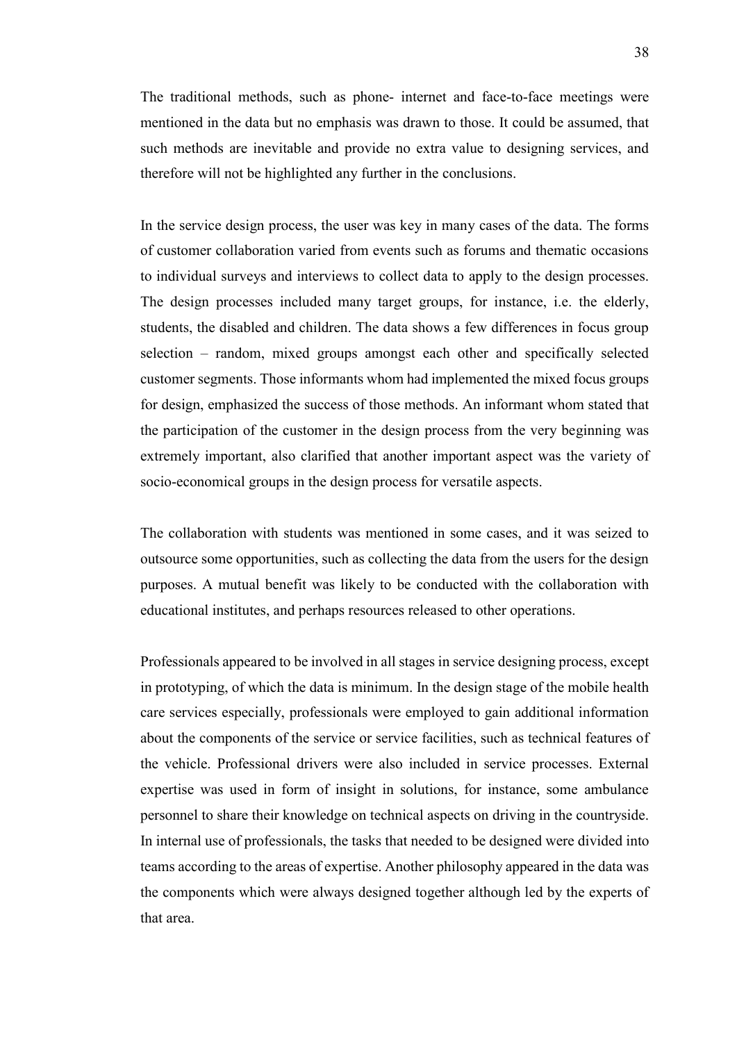The traditional methods, such as phone- internet and face-to-face meetings were mentioned in the data but no emphasis was drawn to those. It could be assumed, that such methods are inevitable and provide no extra value to designing services, and therefore will not be highlighted any further in the conclusions.

In the service design process, the user was key in many cases of the data. The forms of customer collaboration varied from events such as forums and thematic occasions to individual surveys and interviews to collect data to apply to the design processes. The design processes included many target groups, for instance, i.e. the elderly, students, the disabled and children. The data shows a few differences in focus group selection – random, mixed groups amongst each other and specifically selected customer segments. Those informants whom had implemented the mixed focus groups for design, emphasized the success of those methods. An informant whom stated that the participation of the customer in the design process from the very beginning was extremely important, also clarified that another important aspect was the variety of socio-economical groups in the design process for versatile aspects.

The collaboration with students was mentioned in some cases, and it was seized to outsource some opportunities, such as collecting the data from the users for the design purposes. A mutual benefit was likely to be conducted with the collaboration with educational institutes, and perhaps resources released to other operations.

Professionals appeared to be involved in all stages in service designing process, except in prototyping, of which the data is minimum. In the design stage of the mobile health care services especially, professionals were employed to gain additional information about the components of the service or service facilities, such as technical features of the vehicle. Professional drivers were also included in service processes. External expertise was used in form of insight in solutions, for instance, some ambulance personnel to share their knowledge on technical aspects on driving in the countryside. In internal use of professionals, the tasks that needed to be designed were divided into teams according to the areas of expertise. Another philosophy appeared in the data was the components which were always designed together although led by the experts of that area.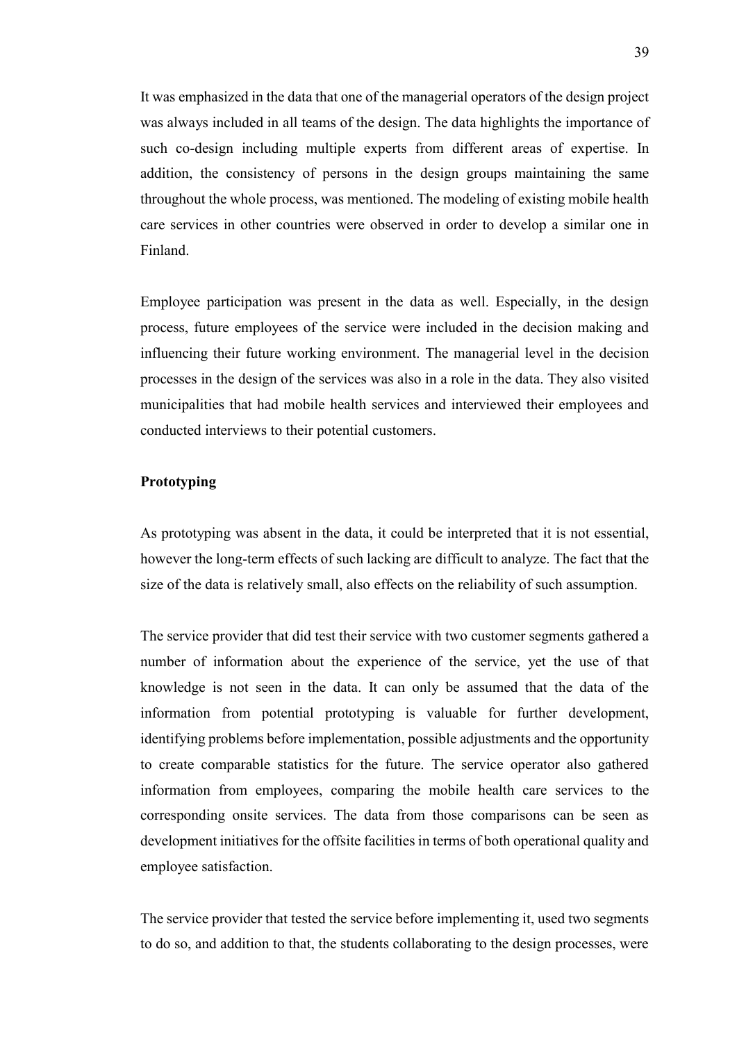It was emphasized in the data that one of the managerial operators of the design project was always included in all teams of the design. The data highlights the importance of such co-design including multiple experts from different areas of expertise. In addition, the consistency of persons in the design groups maintaining the same throughout the whole process, was mentioned. The modeling of existing mobile health care services in other countries were observed in order to develop a similar one in Finland.

Employee participation was present in the data as well. Especially, in the design process, future employees of the service were included in the decision making and influencing their future working environment. The managerial level in the decision processes in the design of the services was also in a role in the data. They also visited municipalities that had mobile health services and interviewed their employees and conducted interviews to their potential customers.

#### <span id="page-38-0"></span>**Prototyping**

As prototyping was absent in the data, it could be interpreted that it is not essential, however the long-term effects of such lacking are difficult to analyze. The fact that the size of the data is relatively small, also effects on the reliability of such assumption.

The service provider that did test their service with two customer segments gathered a number of information about the experience of the service, yet the use of that knowledge is not seen in the data. It can only be assumed that the data of the information from potential prototyping is valuable for further development, identifying problems before implementation, possible adjustments and the opportunity to create comparable statistics for the future. The service operator also gathered information from employees, comparing the mobile health care services to the corresponding onsite services. The data from those comparisons can be seen as development initiatives for the offsite facilities in terms of both operational quality and employee satisfaction.

The service provider that tested the service before implementing it, used two segments to do so, and addition to that, the students collaborating to the design processes, were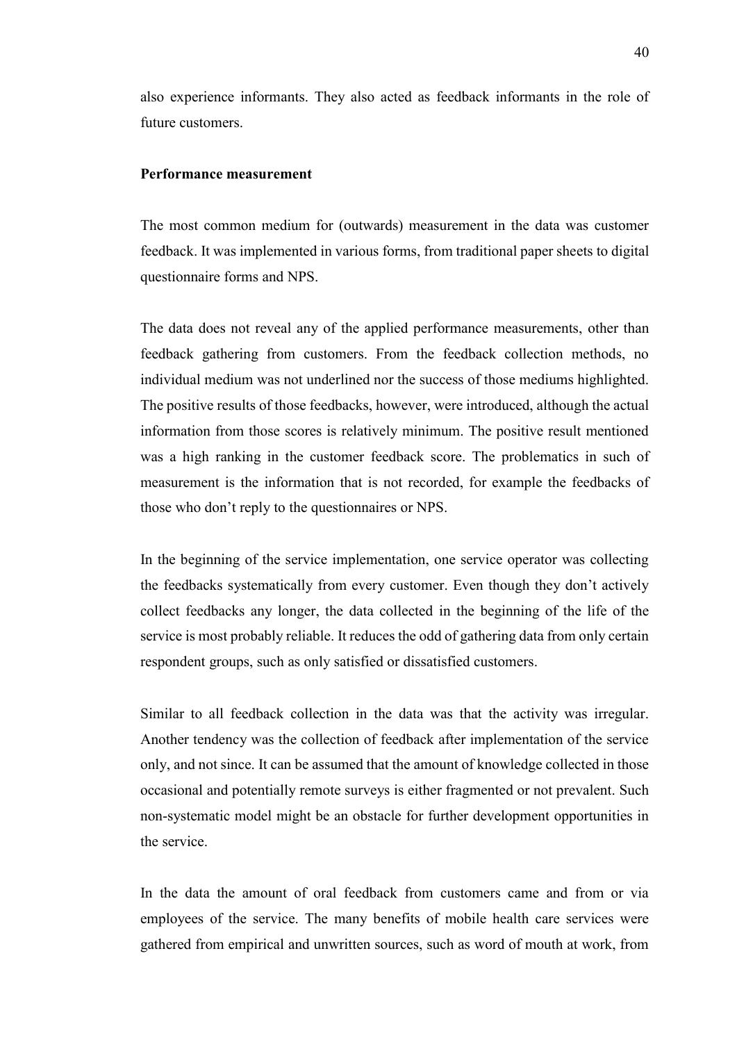also experience informants. They also acted as feedback informants in the role of future customers.

#### <span id="page-39-0"></span>**Performance measurement**

The most common medium for (outwards) measurement in the data was customer feedback. It was implemented in various forms, from traditional paper sheets to digital questionnaire forms and NPS.

The data does not reveal any of the applied performance measurements, other than feedback gathering from customers. From the feedback collection methods, no individual medium was not underlined nor the success of those mediums highlighted. The positive results of those feedbacks, however, were introduced, although the actual information from those scores is relatively minimum. The positive result mentioned was a high ranking in the customer feedback score. The problematics in such of measurement is the information that is not recorded, for example the feedbacks of those who don't reply to the questionnaires or NPS.

In the beginning of the service implementation, one service operator was collecting the feedbacks systematically from every customer. Even though they don't actively collect feedbacks any longer, the data collected in the beginning of the life of the service is most probably reliable. It reduces the odd of gathering data from only certain respondent groups, such as only satisfied or dissatisfied customers.

Similar to all feedback collection in the data was that the activity was irregular. Another tendency was the collection of feedback after implementation of the service only, and not since. It can be assumed that the amount of knowledge collected in those occasional and potentially remote surveys is either fragmented or not prevalent. Such non-systematic model might be an obstacle for further development opportunities in the service.

In the data the amount of oral feedback from customers came and from or via employees of the service. The many benefits of mobile health care services were gathered from empirical and unwritten sources, such as word of mouth at work, from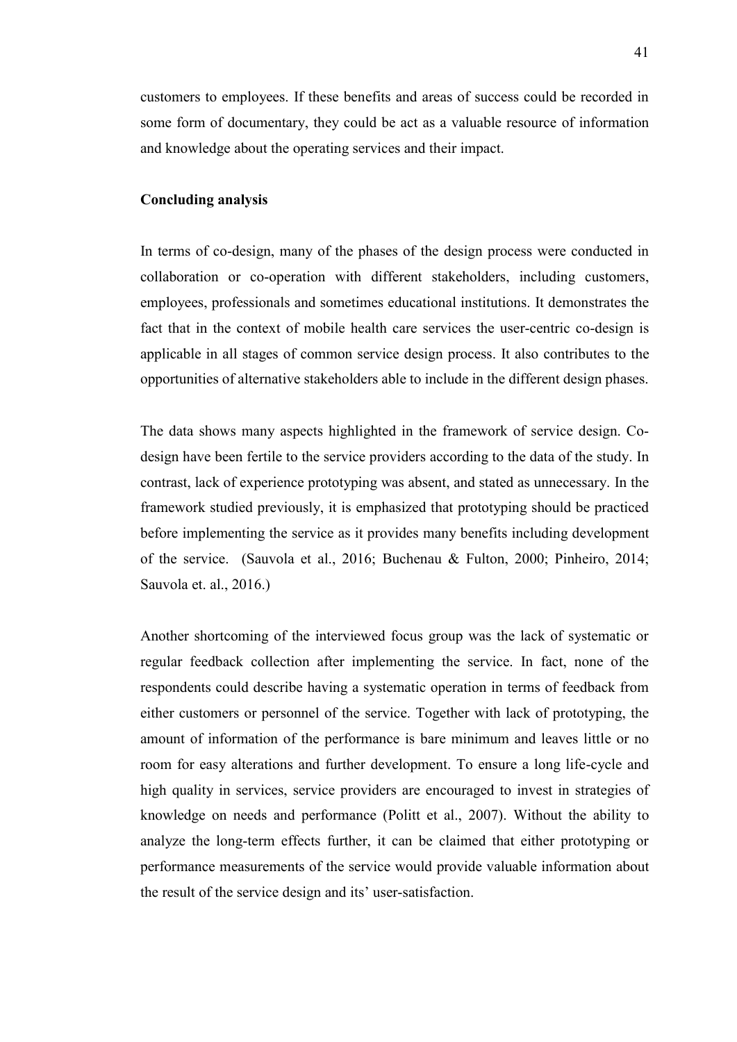customers to employees. If these benefits and areas of success could be recorded in some form of documentary, they could be act as a valuable resource of information and knowledge about the operating services and their impact.

#### <span id="page-40-0"></span>**Concluding analysis**

In terms of co-design, many of the phases of the design process were conducted in collaboration or co-operation with different stakeholders, including customers, employees, professionals and sometimes educational institutions. It demonstrates the fact that in the context of mobile health care services the user-centric co-design is applicable in all stages of common service design process. It also contributes to the opportunities of alternative stakeholders able to include in the different design phases.

The data shows many aspects highlighted in the framework of service design. Codesign have been fertile to the service providers according to the data of the study. In contrast, lack of experience prototyping was absent, and stated as unnecessary. In the framework studied previously, it is emphasized that prototyping should be practiced before implementing the service as it provides many benefits including development of the service. (Sauvola et al., 2016; Buchenau & Fulton, 2000; Pinheiro, 2014; Sauvola et. al., 2016.)

Another shortcoming of the interviewed focus group was the lack of systematic or regular feedback collection after implementing the service. In fact, none of the respondents could describe having a systematic operation in terms of feedback from either customers or personnel of the service. Together with lack of prototyping, the amount of information of the performance is bare minimum and leaves little or no room for easy alterations and further development. To ensure a long life-cycle and high quality in services, service providers are encouraged to invest in strategies of knowledge on needs and performance (Politt et al., 2007). Without the ability to analyze the long-term effects further, it can be claimed that either prototyping or performance measurements of the service would provide valuable information about the result of the service design and its' user-satisfaction.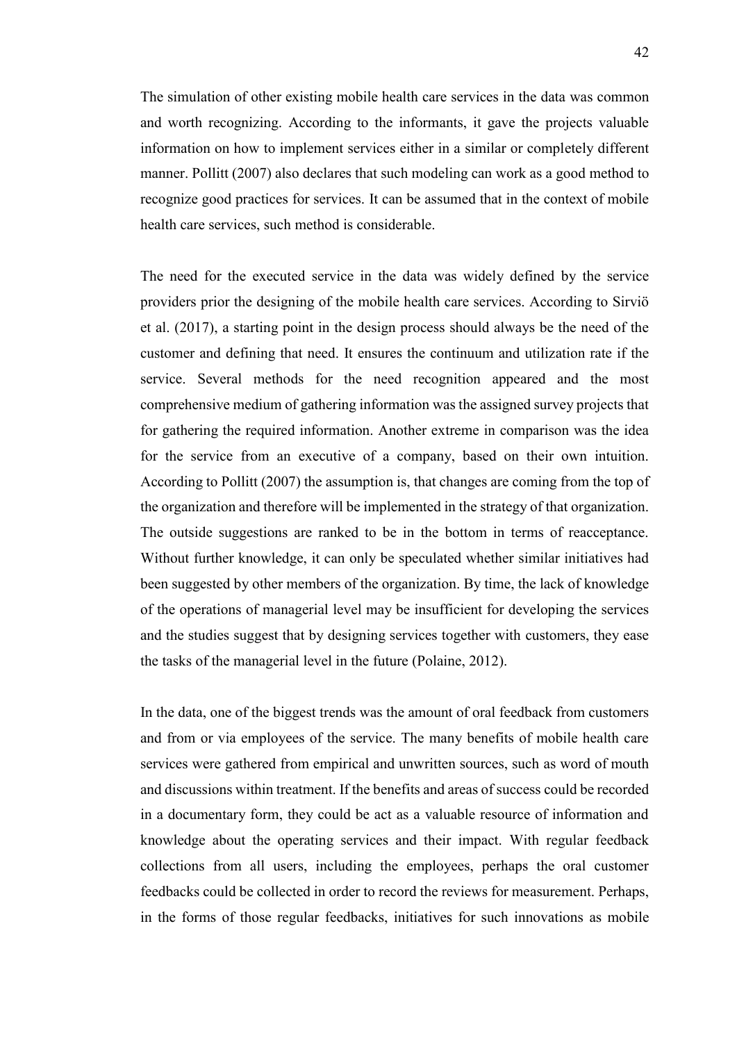The simulation of other existing mobile health care services in the data was common and worth recognizing. According to the informants, it gave the projects valuable information on how to implement services either in a similar or completely different manner. Pollitt (2007) also declares that such modeling can work as a good method to recognize good practices for services. It can be assumed that in the context of mobile health care services, such method is considerable.

The need for the executed service in the data was widely defined by the service providers prior the designing of the mobile health care services. According to Sirviö et al. (2017), a starting point in the design process should always be the need of the customer and defining that need. It ensures the continuum and utilization rate if the service. Several methods for the need recognition appeared and the most comprehensive medium of gathering information was the assigned survey projects that for gathering the required information. Another extreme in comparison was the idea for the service from an executive of a company, based on their own intuition. According to Pollitt (2007) the assumption is, that changes are coming from the top of the organization and therefore will be implemented in the strategy of that organization. The outside suggestions are ranked to be in the bottom in terms of reacceptance. Without further knowledge, it can only be speculated whether similar initiatives had been suggested by other members of the organization. By time, the lack of knowledge of the operations of managerial level may be insufficient for developing the services and the studies suggest that by designing services together with customers, they ease the tasks of the managerial level in the future (Polaine, 2012).

In the data, one of the biggest trends was the amount of oral feedback from customers and from or via employees of the service. The many benefits of mobile health care services were gathered from empirical and unwritten sources, such as word of mouth and discussions within treatment. If the benefits and areas of success could be recorded in a documentary form, they could be act as a valuable resource of information and knowledge about the operating services and their impact. With regular feedback collections from all users, including the employees, perhaps the oral customer feedbacks could be collected in order to record the reviews for measurement. Perhaps, in the forms of those regular feedbacks, initiatives for such innovations as mobile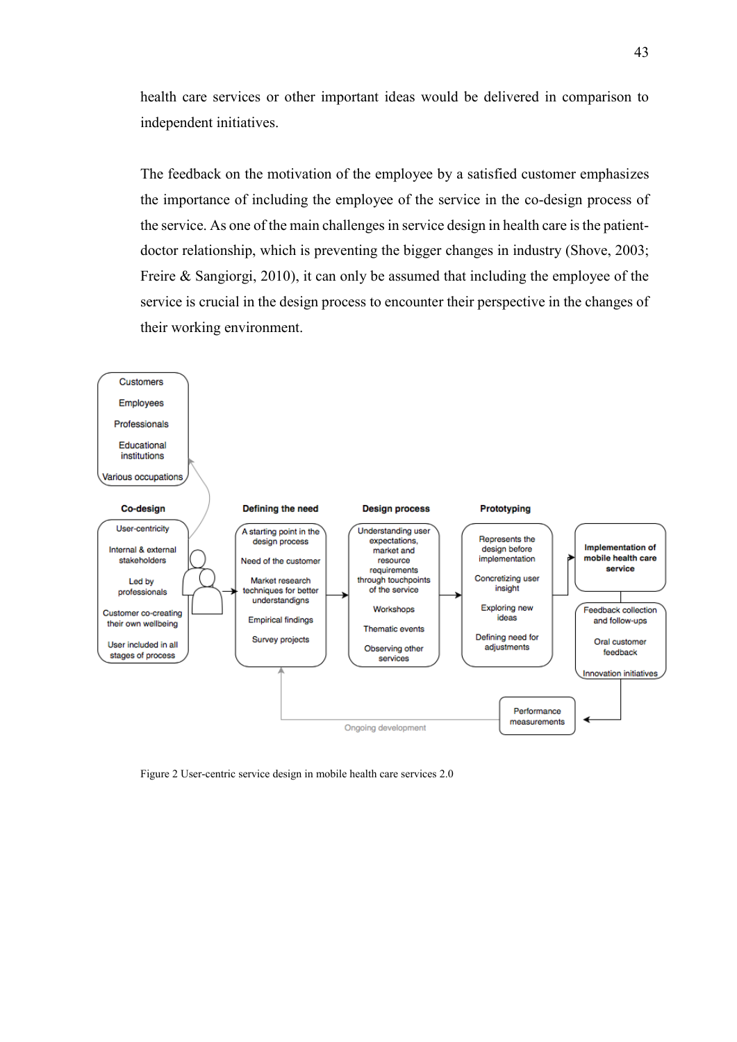health care services or other important ideas would be delivered in comparison to independent initiatives.

The feedback on the motivation of the employee by a satisfied customer emphasizes the importance of including the employee of the service in the co-design process of the service. As one of the main challenges in service design in health care is the patientdoctor relationship, which is preventing the bigger changes in industry (Shove, 2003; Freire & Sangiorgi, 2010), it can only be assumed that including the employee of the service is crucial in the design process to encounter their perspective in the changes of their working environment.



Figure 2 User-centric service design in mobile health care services 2.0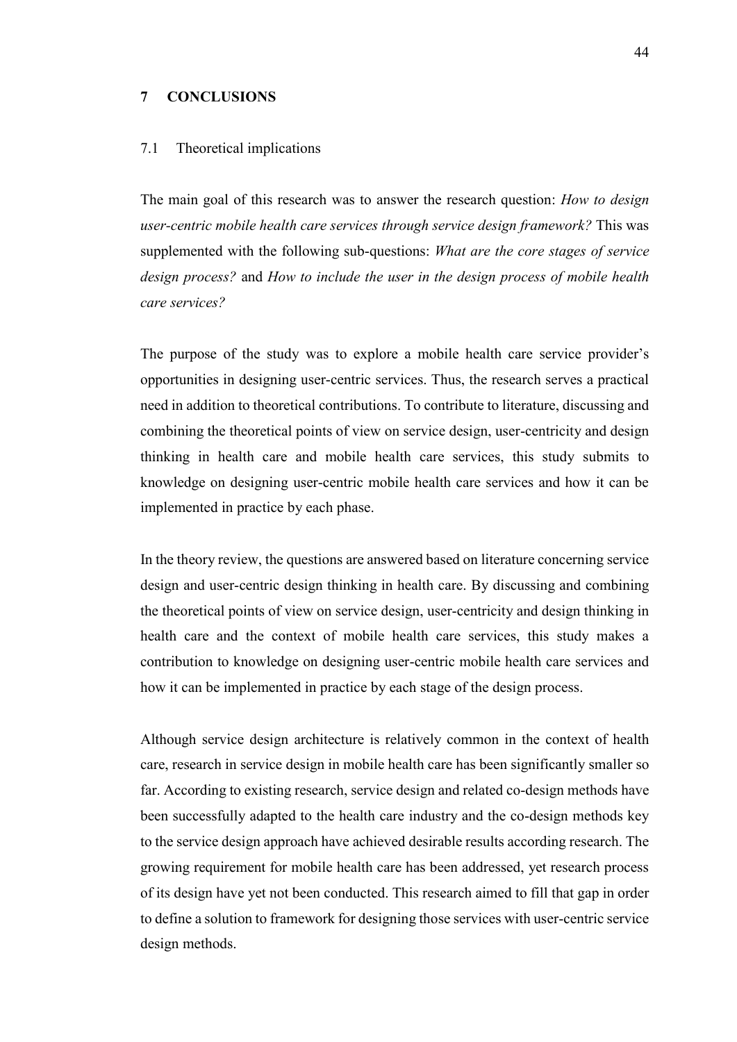#### <span id="page-43-0"></span>**7 CONCLUSIONS**

#### <span id="page-43-1"></span>7.1 Theoretical implications

The main goal of this research was to answer the research question: *How to design user-centric mobile health care services through service design framework?* This was supplemented with the following sub-questions: *What are the core stages of service design process?* and *How to include the user in the design process of mobile health care services?*

The purpose of the study was to explore a mobile health care service provider's opportunities in designing user-centric services. Thus, the research serves a practical need in addition to theoretical contributions. To contribute to literature, discussing and combining the theoretical points of view on service design, user-centricity and design thinking in health care and mobile health care services, this study submits to knowledge on designing user-centric mobile health care services and how it can be implemented in practice by each phase.

In the theory review, the questions are answered based on literature concerning service design and user-centric design thinking in health care. By discussing and combining the theoretical points of view on service design, user-centricity and design thinking in health care and the context of mobile health care services, this study makes a contribution to knowledge on designing user-centric mobile health care services and how it can be implemented in practice by each stage of the design process.

Although service design architecture is relatively common in the context of health care, research in service design in mobile health care has been significantly smaller so far. According to existing research, service design and related co-design methods have been successfully adapted to the health care industry and the co-design methods key to the service design approach have achieved desirable results according research. The growing requirement for mobile health care has been addressed, yet research process of its design have yet not been conducted. This research aimed to fill that gap in order to define a solution to framework for designing those services with user-centric service design methods.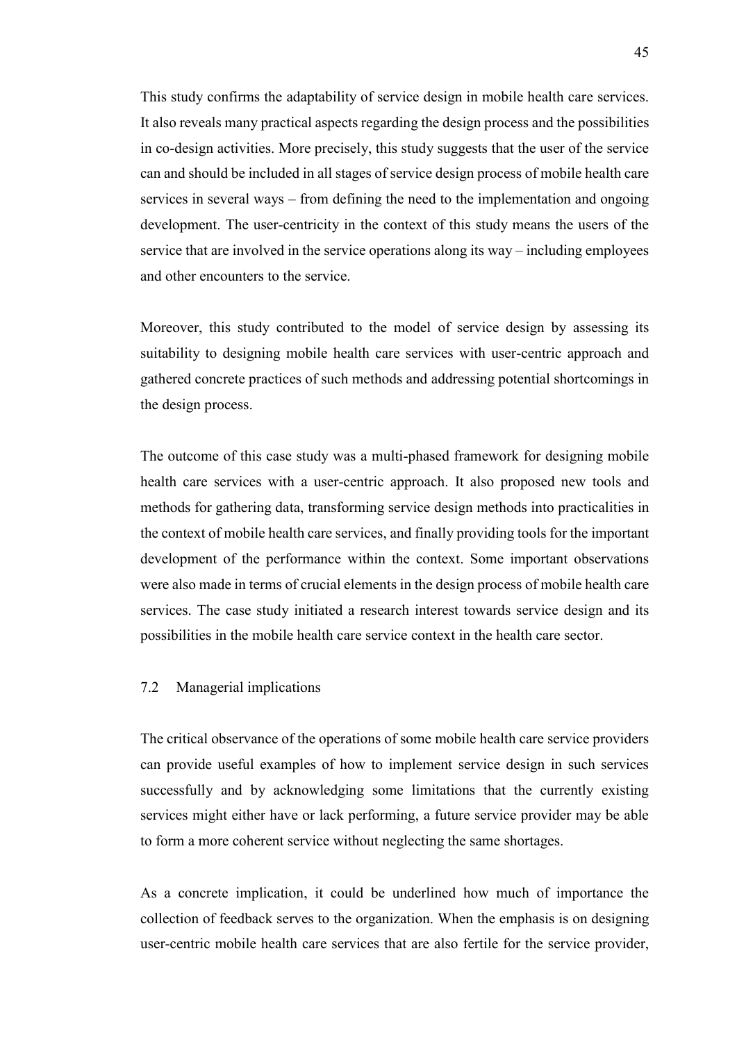This study confirms the adaptability of service design in mobile health care services. It also reveals many practical aspects regarding the design process and the possibilities in co-design activities. More precisely, this study suggests that the user of the service can and should be included in all stages of service design process of mobile health care services in several ways – from defining the need to the implementation and ongoing development. The user-centricity in the context of this study means the users of the service that are involved in the service operations along its way – including employees and other encounters to the service.

Moreover, this study contributed to the model of service design by assessing its suitability to designing mobile health care services with user-centric approach and gathered concrete practices of such methods and addressing potential shortcomings in the design process.

The outcome of this case study was a multi-phased framework for designing mobile health care services with a user-centric approach. It also proposed new tools and methods for gathering data, transforming service design methods into practicalities in the context of mobile health care services, and finally providing tools for the important development of the performance within the context. Some important observations were also made in terms of crucial elements in the design process of mobile health care services. The case study initiated a research interest towards service design and its possibilities in the mobile health care service context in the health care sector.

#### <span id="page-44-0"></span>7.2 Managerial implications

The critical observance of the operations of some mobile health care service providers can provide useful examples of how to implement service design in such services successfully and by acknowledging some limitations that the currently existing services might either have or lack performing, a future service provider may be able to form a more coherent service without neglecting the same shortages.

As a concrete implication, it could be underlined how much of importance the collection of feedback serves to the organization. When the emphasis is on designing user-centric mobile health care services that are also fertile for the service provider,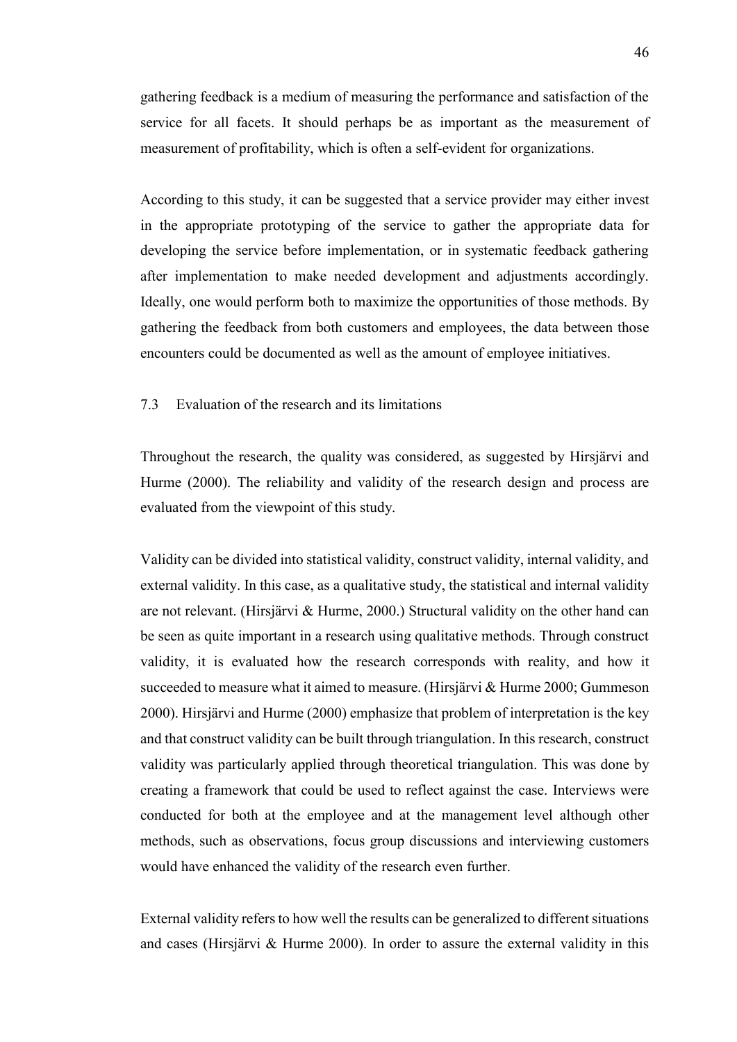gathering feedback is a medium of measuring the performance and satisfaction of the service for all facets. It should perhaps be as important as the measurement of measurement of profitability, which is often a self-evident for organizations.

According to this study, it can be suggested that a service provider may either invest in the appropriate prototyping of the service to gather the appropriate data for developing the service before implementation, or in systematic feedback gathering after implementation to make needed development and adjustments accordingly. Ideally, one would perform both to maximize the opportunities of those methods. By gathering the feedback from both customers and employees, the data between those encounters could be documented as well as the amount of employee initiatives.

#### <span id="page-45-0"></span>7.3 Evaluation of the research and its limitations

Throughout the research, the quality was considered, as suggested by Hirsjärvi and Hurme (2000). The reliability and validity of the research design and process are evaluated from the viewpoint of this study.

Validity can be divided into statistical validity, construct validity, internal validity, and external validity. In this case, as a qualitative study, the statistical and internal validity are not relevant. (Hirsjärvi & Hurme, 2000.) Structural validity on the other hand can be seen as quite important in a research using qualitative methods. Through construct validity, it is evaluated how the research corresponds with reality, and how it succeeded to measure what it aimed to measure. (Hirsjärvi & Hurme 2000; Gummeson 2000). Hirsjärvi and Hurme (2000) emphasize that problem of interpretation is the key and that construct validity can be built through triangulation. In this research, construct validity was particularly applied through theoretical triangulation. This was done by creating a framework that could be used to reflect against the case. Interviews were conducted for both at the employee and at the management level although other methods, such as observations, focus group discussions and interviewing customers would have enhanced the validity of the research even further.

External validity refers to how well the results can be generalized to different situations and cases (Hirsjärvi & Hurme 2000). In order to assure the external validity in this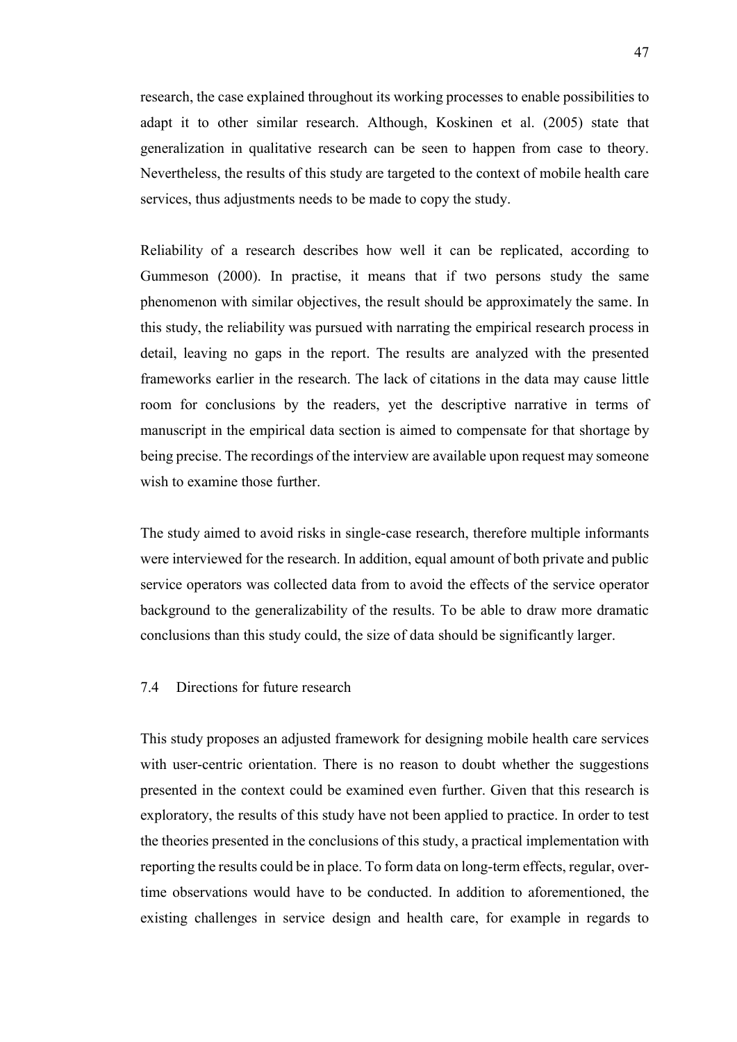research, the case explained throughout its working processes to enable possibilities to adapt it to other similar research. Although, Koskinen et al. (2005) state that generalization in qualitative research can be seen to happen from case to theory. Nevertheless, the results of this study are targeted to the context of mobile health care services, thus adjustments needs to be made to copy the study.

Reliability of a research describes how well it can be replicated, according to Gummeson (2000). In practise, it means that if two persons study the same phenomenon with similar objectives, the result should be approximately the same. In this study, the reliability was pursued with narrating the empirical research process in detail, leaving no gaps in the report. The results are analyzed with the presented frameworks earlier in the research. The lack of citations in the data may cause little room for conclusions by the readers, yet the descriptive narrative in terms of manuscript in the empirical data section is aimed to compensate for that shortage by being precise. The recordings of the interview are available upon request may someone wish to examine those further.

The study aimed to avoid risks in single-case research, therefore multiple informants were interviewed for the research. In addition, equal amount of both private and public service operators was collected data from to avoid the effects of the service operator background to the generalizability of the results. To be able to draw more dramatic conclusions than this study could, the size of data should be significantly larger.

#### <span id="page-46-0"></span>7.4 Directions for future research

This study proposes an adjusted framework for designing mobile health care services with user-centric orientation. There is no reason to doubt whether the suggestions presented in the context could be examined even further. Given that this research is exploratory, the results of this study have not been applied to practice. In order to test the theories presented in the conclusions of this study, a practical implementation with reporting the results could be in place. To form data on long-term effects, regular, overtime observations would have to be conducted. In addition to aforementioned, the existing challenges in service design and health care, for example in regards to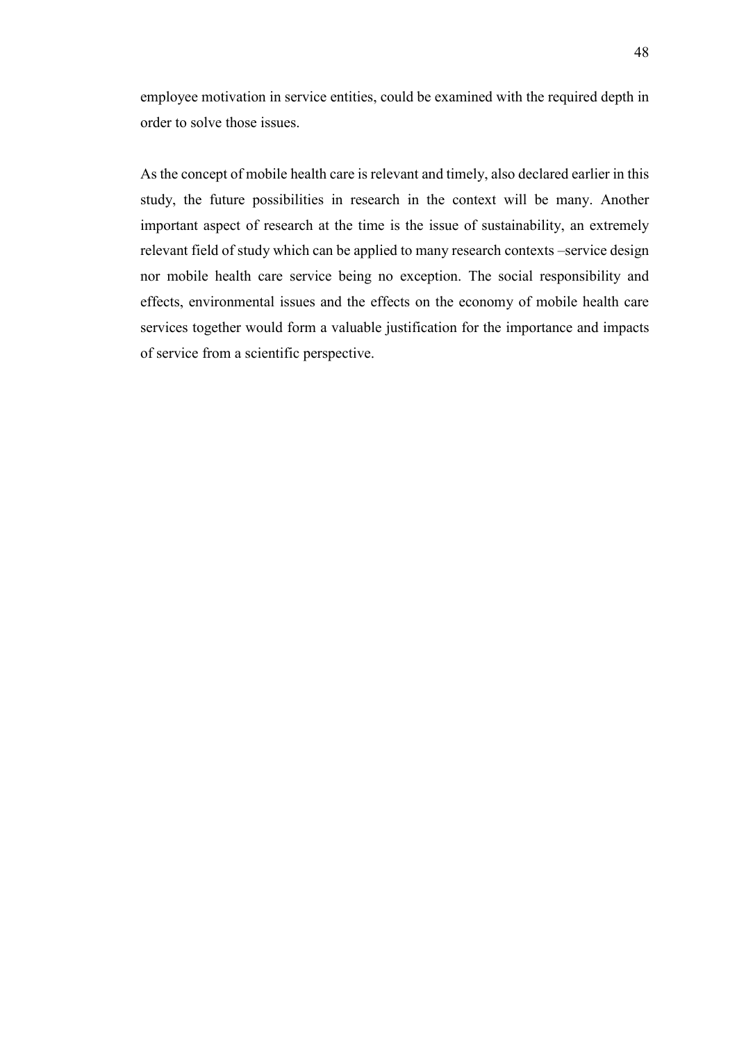employee motivation in service entities, could be examined with the required depth in order to solve those issues.

As the concept of mobile health care is relevant and timely, also declared earlier in this study, the future possibilities in research in the context will be many. Another important aspect of research at the time is the issue of sustainability, an extremely relevant field of study which can be applied to many research contexts –service design nor mobile health care service being no exception. The social responsibility and effects, environmental issues and the effects on the economy of mobile health care services together would form a valuable justification for the importance and impacts of service from a scientific perspective.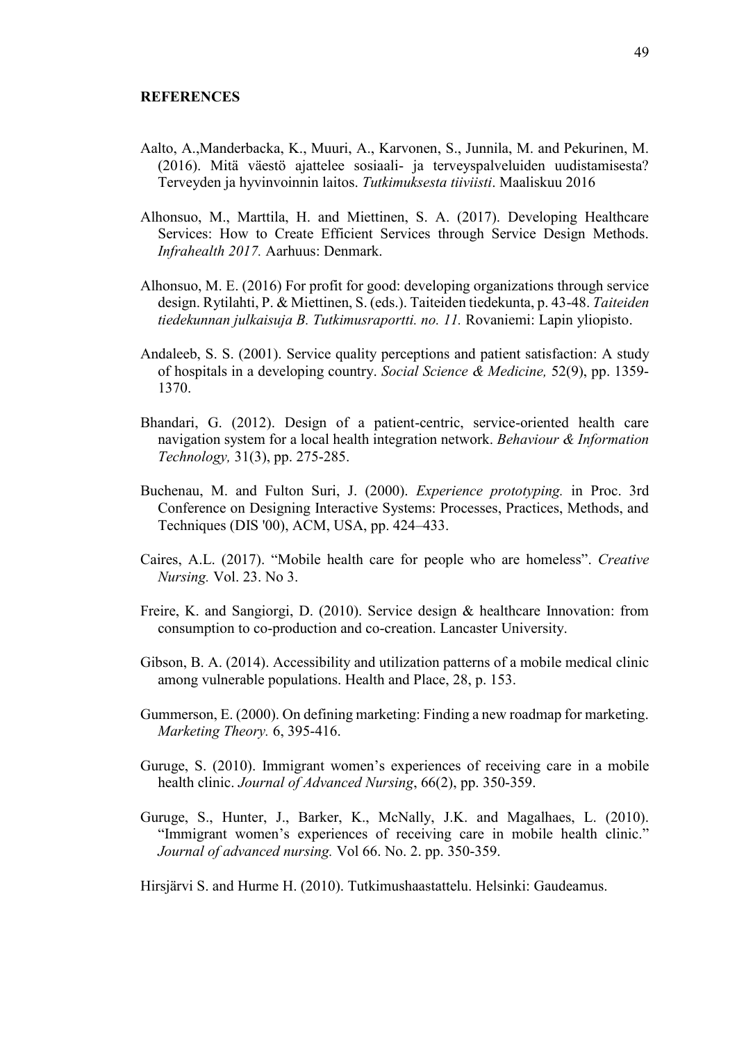- <span id="page-48-0"></span>Aalto, A.,Manderbacka, K., Muuri, A., Karvonen, S., Junnila, M. and Pekurinen, M. (2016). Mitä väestö ajattelee sosiaali- ja terveyspalveluiden uudistamisesta? Terveyden ja hyvinvoinnin laitos. *Tutkimuksesta tiiviisti*. Maaliskuu 2016
- Alhonsuo, M., Marttila, H. and Miettinen, S. A. (2017). Developing Healthcare Services: How to Create Efficient Services through Service Design Methods. *Infrahealth 2017.* Aarhuus: Denmark.
- Alhonsuo, M. E. (2016) For profit for good: developing organizations through service design. Rytilahti, P. & Miettinen, S. (eds.). Taiteiden tiedekunta, p. 43-48. *Taiteiden tiedekunnan julkaisuja B. Tutkimusraportti. no. 11.* Rovaniemi: Lapin yliopisto.
- Andaleeb, S. S. (2001). Service quality perceptions and patient satisfaction: A study of hospitals in a developing country. *Social Science & Medicine,* 52(9), pp. 1359- 1370.
- Bhandari, G. (2012). Design of a patient-centric, service-oriented health care navigation system for a local health integration network. *Behaviour & Information Technology,* 31(3), pp. 275-285.
- Buchenau, M. and Fulton Suri, J. (2000). *Experience prototyping.* in Proc. 3rd Conference on Designing Interactive Systems: Processes, Practices, Methods, and Techniques (DIS '00), ACM, USA, pp. 424–433.
- Caires, A.L. (2017). "Mobile health care for people who are homeless". *Creative Nursing.* Vol. 23. No 3.
- Freire, K. and Sangiorgi, D. (2010). Service design & healthcare Innovation: from consumption to co-production and co-creation. Lancaster University.
- Gibson, B. A. (2014). Accessibility and utilization patterns of a mobile medical clinic among vulnerable populations. Health and Place, 28, p. 153.
- Gummerson, E. (2000). On defining marketing: Finding a new roadmap for marketing. *Marketing Theory.* 6, 395-416.
- Guruge, S. (2010). Immigrant women's experiences of receiving care in a mobile health clinic. *Journal of Advanced Nursing*, 66(2), pp. 350-359.
- Guruge, S., Hunter, J., Barker, K., McNally, J.K. and Magalhaes, L. (2010). "Immigrant women's experiences of receiving care in mobile health clinic." *Journal of advanced nursing.* Vol 66. No. 2. pp. 350-359.

Hirsjärvi S. and Hurme H. (2010). Tutkimushaastattelu. Helsinki: Gaudeamus.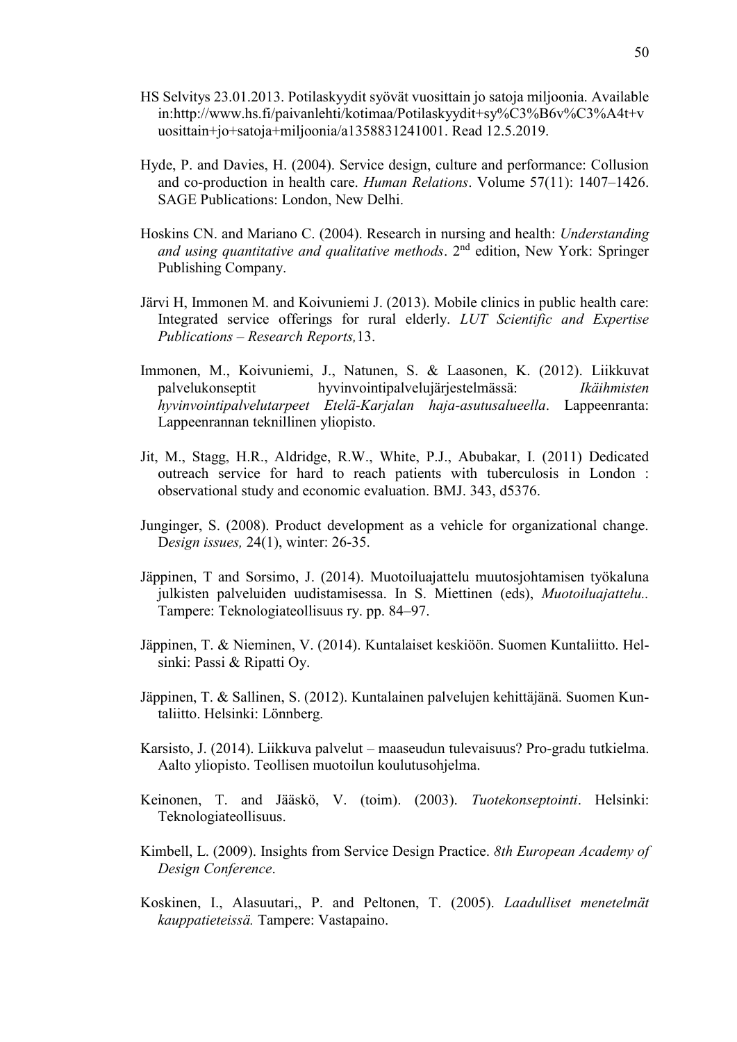- HS Selvitys 23.01.2013. Potilaskyydit syövät vuosittain jo satoja miljoonia. Available in:http://www.hs.fi/paivanlehti/kotimaa/Potilaskyydit+sy%C3%B6v%C3%A4t+v uosittain+jo+satoja+miljoonia/a1358831241001. Read 12.5.2019.
- Hyde, P. and Davies, H. (2004). Service design, culture and performance: Collusion and co-production in health care. *Human Relations*. Volume 57(11): 1407–1426. SAGE Publications: London, New Delhi.
- Hoskins CN. and Mariano C. (2004). Research in nursing and health: *Understanding and using quantitative and qualitative methods*. 2nd edition, New York: Springer Publishing Company.
- Järvi H, Immonen M. and Koivuniemi J. (2013). Mobile clinics in public health care: Integrated service offerings for rural elderly. *LUT Scientific and Expertise Publications – Research Reports,*13.
- Immonen, M., Koivuniemi, J., Natunen, S. & Laasonen, K. (2012). Liikkuvat palvelukonseptit hyvinvointipalvelujärjestelmässä: *Ikäihmisten hyvinvointipalvelutarpeet Etelä-Karjalan haja-asutusalueella*. Lappeenranta: Lappeenrannan teknillinen yliopisto.
- Jit, M., Stagg, H.R., Aldridge, R.W., White, P.J., Abubakar, I. (2011) Dedicated outreach service for hard to reach patients with tuberculosis in London : observational study and economic evaluation. BMJ. 343, d5376.
- Junginger, S. (2008). Product development as a vehicle for organizational change. D*esign issues,* 24(1), winter: 26-35.
- Jäppinen, T and Sorsimo, J. (2014). Muotoiluajattelu muutosjohtamisen työkaluna julkisten palveluiden uudistamisessa. In S. Miettinen (eds), *Muotoiluajattelu..* Tampere: Teknologiateollisuus ry. pp. 84–97.
- Jäppinen, T. & Nieminen, V. (2014). Kuntalaiset keskiöön. Suomen Kuntaliitto. Helsinki: Passi & Ripatti Oy.
- Jäppinen, T. & Sallinen, S. (2012). Kuntalainen palvelujen kehittäjänä. Suomen Kuntaliitto. Helsinki: Lönnberg.
- Karsisto, J. (2014). Liikkuva palvelut maaseudun tulevaisuus? Pro-gradu tutkielma. Aalto yliopisto. Teollisen muotoilun koulutusohjelma.
- Keinonen, T. and Jääskö, V. (toim). (2003). *Tuotekonseptointi*. Helsinki: Teknologiateollisuus.
- Kimbell, L. (2009). Insights from Service Design Practice. *8th European Academy of Design Conference*.
- Koskinen, I., Alasuutari,, P. and Peltonen, T. (2005). *Laadulliset menetelmät kauppatieteissä.* Tampere: Vastapaino.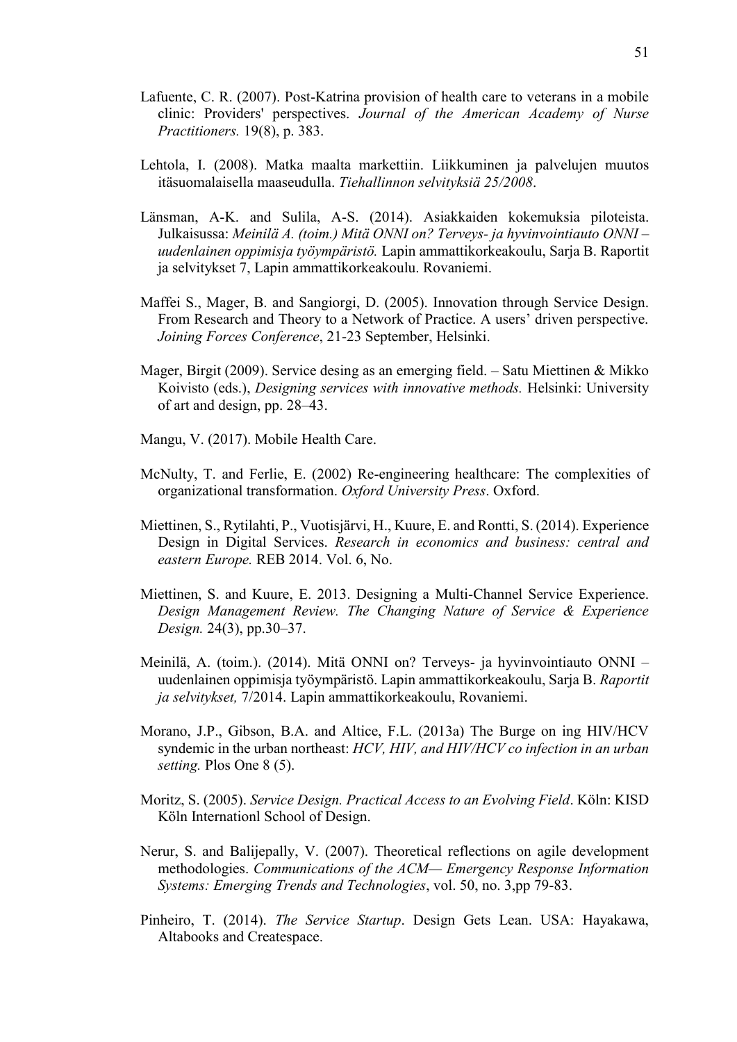- Lafuente, C. R. (2007). Post-Katrina provision of health care to veterans in a mobile clinic: Providers' perspectives. *Journal of the American Academy of Nurse Practitioners.* 19(8), p. 383.
- Lehtola, I. (2008). Matka maalta markettiin. Liikkuminen ja palvelujen muutos itäsuomalaisella maaseudulla. *Tiehallinnon selvityksiä 25/2008*.
- Länsman, A-K. and Sulila, A-S. (2014). Asiakkaiden kokemuksia piloteista. Julkaisussa: *Meinilä A. (toim.) Mitä ONNI on? Terveys- ja hyvinvointiauto ONNI – uudenlainen oppimisja työympäristö.* Lapin ammattikorkeakoulu, Sarja B. Raportit ja selvitykset 7, Lapin ammattikorkeakoulu. Rovaniemi.
- Maffei S., Mager, B. and Sangiorgi, D. (2005). Innovation through Service Design. From Research and Theory to a Network of Practice. A users' driven perspective. *Joining Forces Conference*, 21-23 September, Helsinki.
- Mager, Birgit (2009). Service desing as an emerging field. Satu Miettinen & Mikko Koivisto (eds.), *Designing services with innovative methods.* Helsinki: University of art and design, pp. 28–43.
- Mangu, V. (2017). Mobile Health Care.
- McNulty, T. and Ferlie, E. (2002) Re-engineering healthcare: The complexities of organizational transformation. *Oxford University Press*. Oxford.
- Miettinen, S., Rytilahti, P., Vuotisjärvi, H., Kuure, E. and Rontti, S. (2014). Experience Design in Digital Services. *Research in economics and business: central and eastern Europe.* REB 2014. Vol. 6, No.
- Miettinen, S. and Kuure, E. 2013. Designing a Multi-Channel Service Experience. *Design Management Review. The Changing Nature of Service & Experience Design.* 24(3), pp.30–37.
- Meinilä, A. (toim.). (2014). Mitä ONNI on? Terveys- ja hyvinvointiauto ONNI uudenlainen oppimisja työympäristö. Lapin ammattikorkeakoulu, Sarja B. *Raportit ja selvitykset,* 7/2014. Lapin ammattikorkeakoulu, Rovaniemi.
- Morano, J.P., Gibson, B.A. and Altice, F.L. (2013a) The Burge on ing HIV/HCV syndemic in the urban northeast: *HCV, HIV, and HIV/HCV co infection in an urban setting.* Plos One 8 (5).
- Moritz, S. (2005). *Service Design. Practical Access to an Evolving Field*. Köln: KISD Köln Internationl School of Design.
- Nerur, S. and Balijepally, V. (2007). Theoretical reflections on agile development methodologies. *Communications of the ACM— Emergency Response Information Systems: Emerging Trends and Technologies*, vol. 50, no. 3,pp 79-83.
- Pinheiro, T. (2014). *The Service Startup*. Design Gets Lean. USA: Hayakawa, Altabooks and Createspace.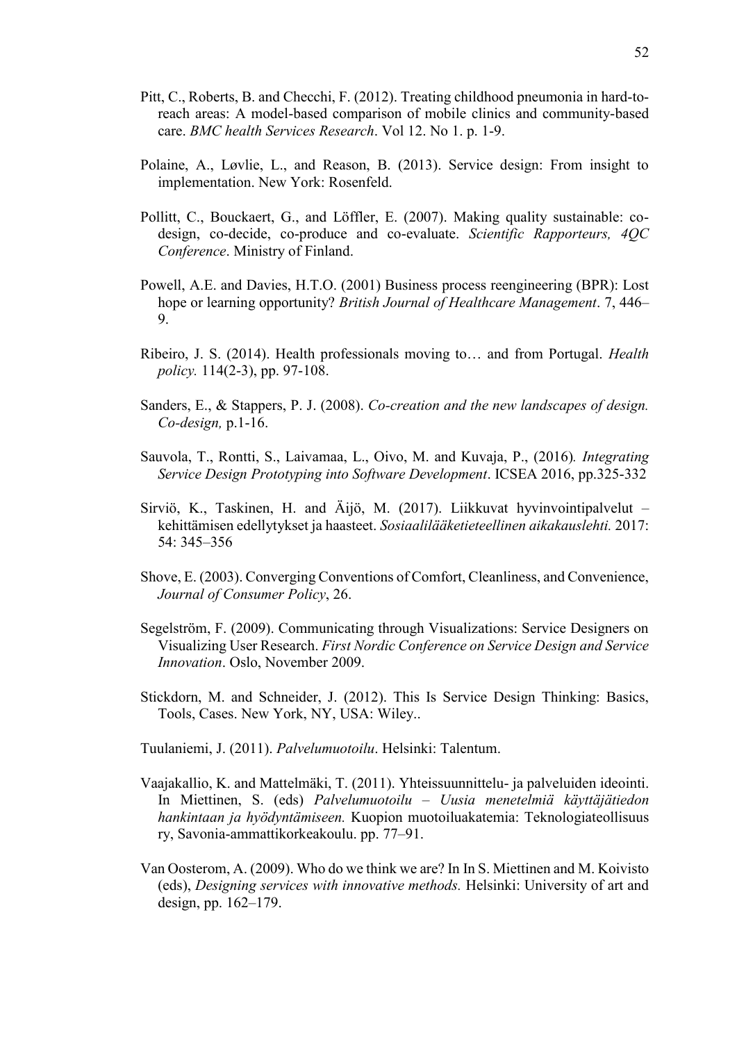- Pitt, C., Roberts, B. and Checchi, F. (2012). Treating childhood pneumonia in hard-toreach areas: A model-based comparison of mobile clinics and community-based care. *BMC health Services Research*. Vol 12. No 1. p. 1-9.
- Polaine, A., Løvlie, L., and Reason, B. (2013). Service design: From insight to implementation. New York: Rosenfeld.
- Pollitt, C., Bouckaert, G., and Löffler, E. (2007). Making quality sustainable: codesign, co-decide, co-produce and co-evaluate. *Scientific Rapporteurs, 4QC Conference*. Ministry of Finland.
- Powell, A.E. and Davies, H.T.O. (2001) Business process reengineering (BPR): Lost hope or learning opportunity? *British Journal of Healthcare Management*. 7, 446– 9.
- Ribeiro, J. S. (2014). Health professionals moving to… and from Portugal. *Health policy.* 114(2-3), pp. 97-108.
- Sanders, E., & Stappers, P. J. (2008). *Co-creation and the new landscapes of design. Co-design,* p.1-16.
- Sauvola, T., Rontti, S., Laivamaa, L., Oivo, M. and Kuvaja, P., (2016)*. Integrating Service Design Prototyping into Software Development*. ICSEA 2016, pp.325-332
- Sirviö, K., Taskinen, H. and Äijö, M. (2017). Liikkuvat hyvinvointipalvelut kehittämisen edellytykset ja haasteet. *Sosiaalilääketieteellinen aikakauslehti.* 2017: 54: 345–356
- Shove, E. (2003). Converging Conventions of Comfort, Cleanliness, and Convenience, *Journal of Consumer Policy*, 26.
- Segelström, F. (2009). Communicating through Visualizations: Service Designers on Visualizing User Research. *First Nordic Conference on Service Design and Service Innovation*. Oslo, November 2009.
- Stickdorn, M. and Schneider, J. (2012). This Is Service Design Thinking: Basics, Tools, Cases. New York, NY, USA: Wiley..
- Tuulaniemi, J. (2011). *Palvelumuotoilu*. Helsinki: Talentum.
- Vaajakallio, K. and Mattelmäki, T. (2011). Yhteissuunnittelu- ja palveluiden ideointi. In Miettinen, S. (eds) *Palvelumuotoilu – Uusia menetelmiä käyttäjätiedon hankintaan ja hyödyntämiseen.* Kuopion muotoiluakatemia: Teknologiateollisuus ry, Savonia-ammattikorkeakoulu. pp. 77–91.
- Van Oosterom, A. (2009). Who do we think we are? In In S. Miettinen and M. Koivisto (eds), *Designing services with innovative methods.* Helsinki: University of art and design, pp. 162–179.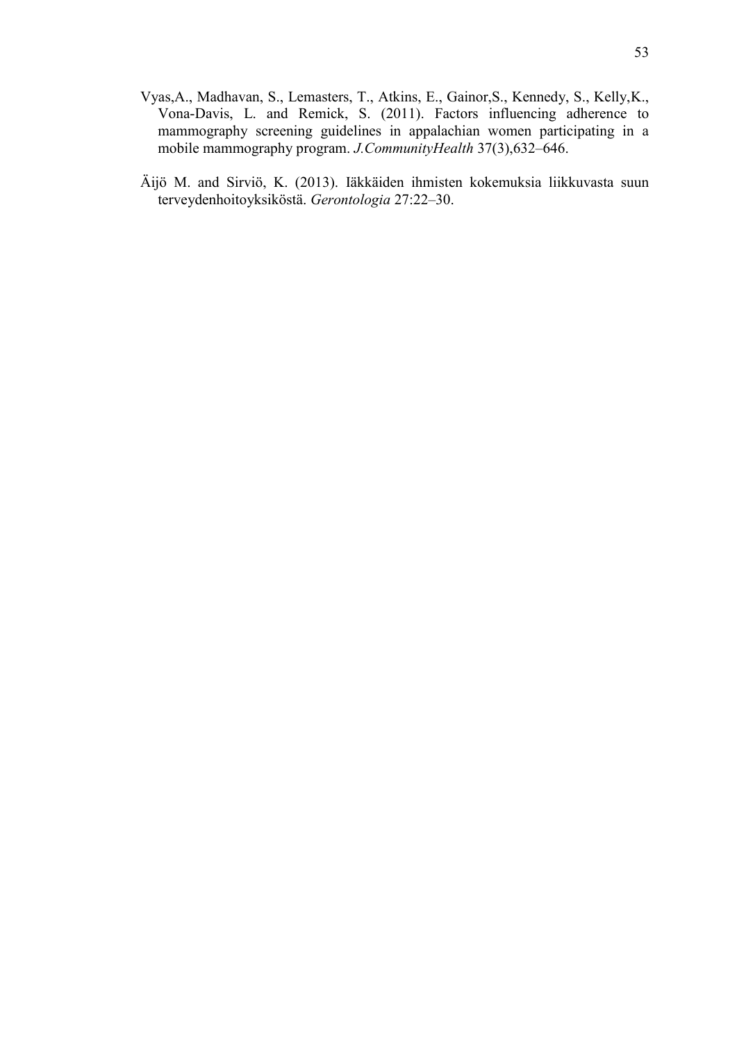- Vyas,A., Madhavan, S., Lemasters, T., Atkins, E., Gainor,S., Kennedy, S., Kelly,K., Vona-Davis, L. and Remick, S. (2011). Factors influencing adherence to mammography screening guidelines in appalachian women participating in a mobile mammography program. *J.CommunityHealth* 37(3),632–646.
- Äijö M. and Sirviö, K. (2013). Iäkkäiden ihmisten kokemuksia liikkuvasta suun terveydenhoitoyksiköstä. *Gerontologia* 27:22–30.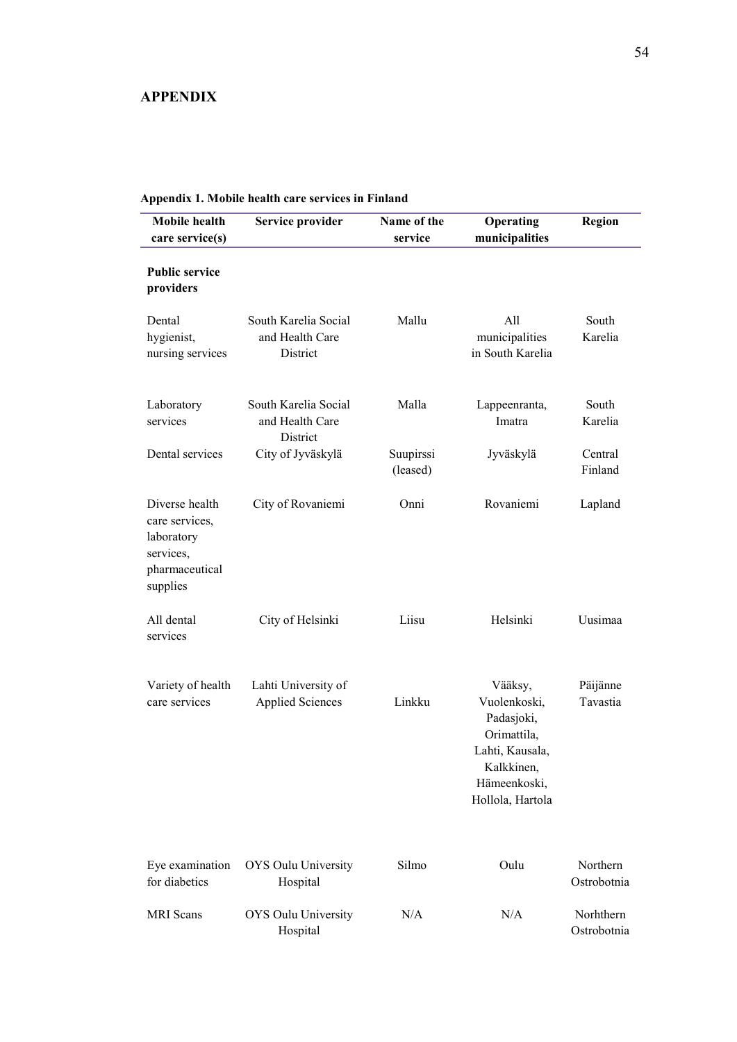#### <span id="page-53-0"></span>**APPENDIX**

| <b>Mobile</b> health<br>care service(s)                                                   | Service provider                                    | Name of the<br>service | Operating<br>municipalities                                                                                               | Region                   |
|-------------------------------------------------------------------------------------------|-----------------------------------------------------|------------------------|---------------------------------------------------------------------------------------------------------------------------|--------------------------|
| <b>Public service</b><br>providers                                                        |                                                     |                        |                                                                                                                           |                          |
| Dental<br>hygienist,<br>nursing services                                                  | South Karelia Social<br>and Health Care<br>District | Mallu                  | All<br>municipalities<br>in South Karelia                                                                                 | South<br>Karelia         |
| Laboratory<br>services                                                                    | South Karelia Social<br>and Health Care<br>District | Malla                  | Lappeenranta,<br>Imatra                                                                                                   | South<br>Karelia         |
| Dental services                                                                           | City of Jyväskylä                                   | Suupirssi<br>(leased)  | Jyväskylä                                                                                                                 | Central<br>Finland       |
| Diverse health<br>care services,<br>laboratory<br>services,<br>pharmaceutical<br>supplies | City of Rovaniemi                                   | Onni                   | Rovaniemi                                                                                                                 | Lapland                  |
| All dental<br>services                                                                    | City of Helsinki                                    | Liisu                  | Helsinki                                                                                                                  | Uusimaa                  |
| Variety of health<br>care services                                                        | Lahti University of<br><b>Applied Sciences</b>      | Linkku                 | Vääksy,<br>Vuolenkoski,<br>Padasjoki,<br>Orimattila,<br>Lahti, Kausala,<br>Kalkkinen,<br>Hämeenkoski,<br>Hollola, Hartola | Päijänne<br>Tavastia     |
| Eye examination<br>for diabetics                                                          | OYS Oulu University<br>Hospital                     | Silmo                  | Oulu                                                                                                                      | Northern<br>Ostrobotnia  |
| <b>MRI</b> Scans                                                                          | OYS Oulu University<br>Hospital                     | N/A                    | N/A                                                                                                                       | Norhthern<br>Ostrobotnia |

# **Appendix 1. Mobile health care services in Finland**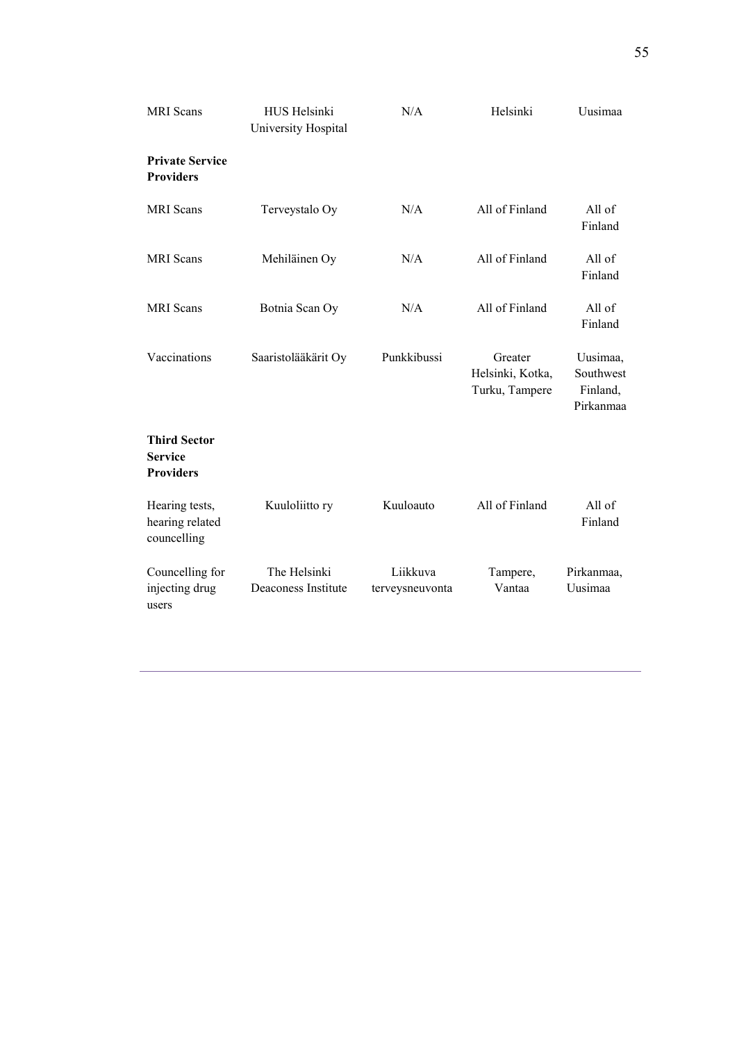| <b>MRI</b> Scans                                          | HUS Helsinki<br>University Hospital | N/A                         | Helsinki                                      | Uusimaa                                        |
|-----------------------------------------------------------|-------------------------------------|-----------------------------|-----------------------------------------------|------------------------------------------------|
| <b>Private Service</b><br><b>Providers</b>                |                                     |                             |                                               |                                                |
| <b>MRI</b> Scans                                          | Terveystalo Oy                      | N/A                         | All of Finland                                | All of<br>Finland                              |
| <b>MRI</b> Scans                                          | Mehiläinen Oy                       | N/A                         | All of Finland                                | All of<br>Finland                              |
| <b>MRI</b> Scans                                          | Botnia Scan Oy                      | N/A                         | All of Finland                                | All of<br>Finland                              |
| Vaccinations                                              | Saaristolääkärit Oy                 | Punkkibussi                 | Greater<br>Helsinki, Kotka,<br>Turku, Tampere | Uusimaa,<br>Southwest<br>Finland,<br>Pirkanmaa |
| <b>Third Sector</b><br><b>Service</b><br><b>Providers</b> |                                     |                             |                                               |                                                |
| Hearing tests,<br>hearing related<br>councelling          | Kuuloliitto ry                      | Kuuloauto                   | All of Finland                                | All of<br>Finland                              |
| Councelling for<br>injecting drug<br>users                | The Helsinki<br>Deaconess Institute | Liikkuva<br>terveysneuvonta | Tampere,<br>Vantaa                            | Pirkanmaa,<br>Uusimaa                          |